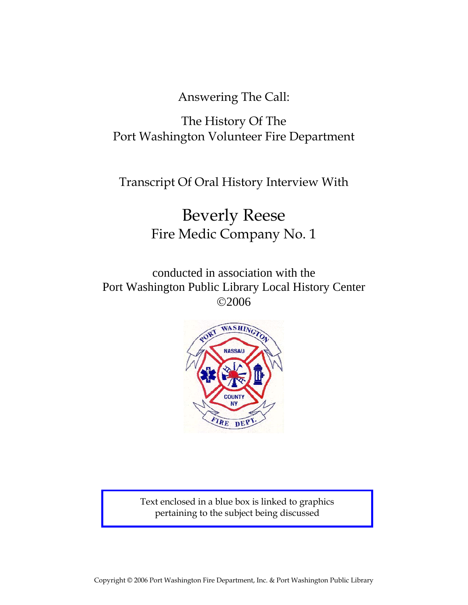Answering The Call:

# The History Of The Port Washington Volunteer Fire Department

Transcript Of Oral History Interview With

# Beverly Reese Fire Medic Company No. 1

conducted in association with the Port Washington Public Library Local History Center ©2006



Text enclosed in a blue box is linked to graphics pertaining to the subject being discussed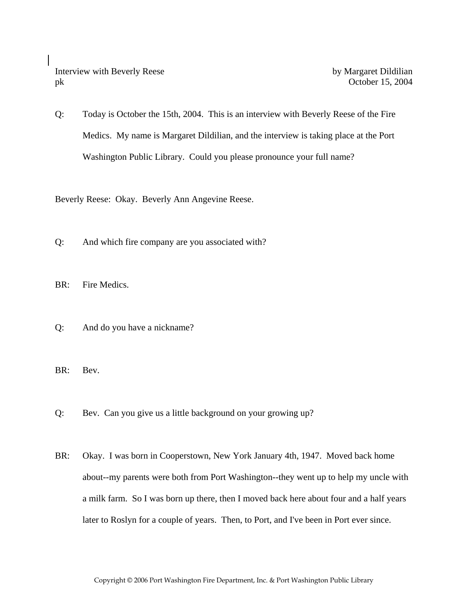Interview with Beverly Reese by Margaret Dildilian pk October 15, 2004

Q: Today is October the 15th, 2004. This is an interview with Beverly Reese of the Fire Medics. My name is Margaret Dildilian, and the interview is taking place at the Port Washington Public Library. Could you please pronounce your full name?

Beverly Reese: Okay. Beverly Ann Angevine Reese.

- Q: And which fire company are you associated with?
- BR: Fire Medics.
- Q: And do you have a nickname?

BR: Bev.

- Q: Bev. Can you give us a little background on your growing up?
- BR: Okay. I was born in Cooperstown, New York January 4th, 1947. Moved back home about--my parents were both from Port Washington--they went up to help my uncle with a milk farm. So I was born up there, then I moved back here about four and a half years later to Roslyn for a couple of years. Then, to Port, and I've been in Port ever since.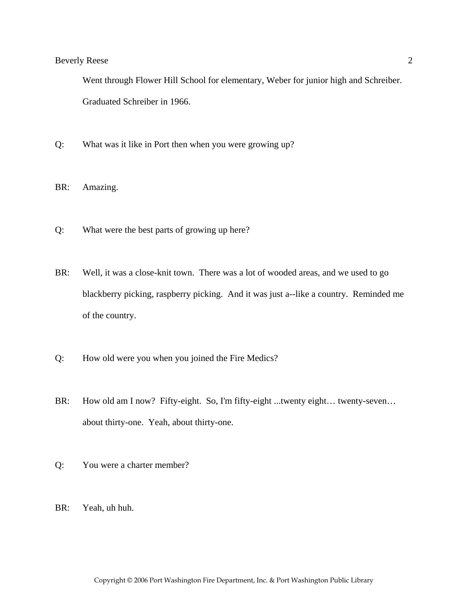Went through Flower Hill School for elementary, Weber for junior high and Schreiber. Graduated Schreiber in 1966.

- Q: What was it like in Port then when you were growing up?
- BR: Amazing.
- Q: What were the best parts of growing up here?
- BR: Well, it was a close-knit town. There was a lot of wooded areas, and we used to go blackberry picking, raspberry picking. And it was just a--like a country. Reminded me of the country.
- Q: How old were you when you joined the Fire Medics?
- BR: How old am I now? Fifty-eight. So, I'm fifty-eight ...twenty eight… twenty-seven… about thirty-one. Yeah, about thirty-one.
- Q: You were a charter member?
- BR: Yeah, uh huh.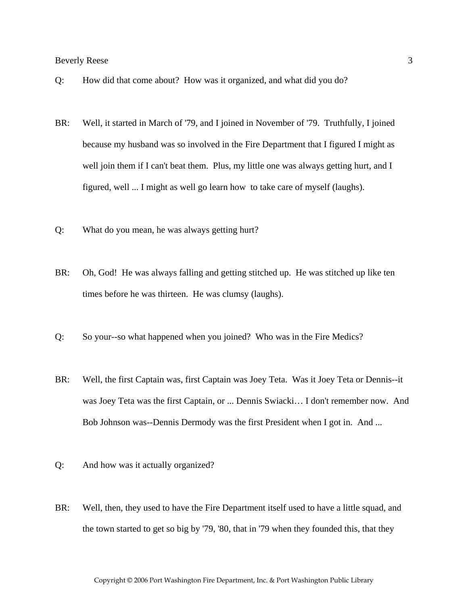- Q: How did that come about? How was it organized, and what did you do?
- BR: Well, it started in March of '79, and I joined in November of '79. Truthfully, I joined because my husband was so involved in the Fire Department that I figured I might as well join them if I can't beat them. Plus, my little one was always getting hurt, and I figured, well ... I might as well go learn how to take care of myself (laughs).
- Q: What do you mean, he was always getting hurt?
- BR: Oh, God! He was always falling and getting stitched up. He was stitched up like ten times before he was thirteen. He was clumsy (laughs).
- Q: So your--so what happened when you joined? Who was in the Fire Medics?
- BR: Well, the first Captain was, first Captain was Joey Teta. Was it Joey Teta or Dennis--it was Joey Teta was the first Captain, or ... Dennis Swiacki… I don't remember now. And Bob Johnson was--Dennis Dermody was the first President when I got in. And ...
- Q: And how was it actually organized?
- BR: Well, then, they used to have the Fire Department itself used to have a little squad, and the town started to get so big by '79, '80, that in '79 when they founded this, that they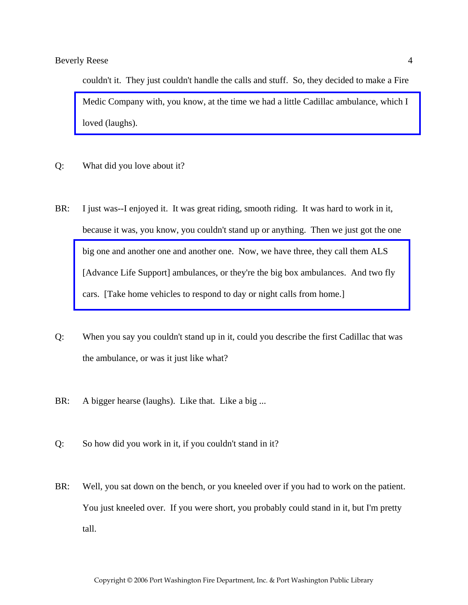couldn't it. They just couldn't handle the calls and stuff. So, they decided to make a Fire [Medic Company with, you know, at the time we had a little Cadillac ambulance, which I](http://www.pwfdhistory.com/trans/reesebev_trans/fmco_vehicles14_web.jpg)  loved (laughs).

- Q: What did you love about it?
- BR: I just was--I enjoyed it. It was great riding, smooth riding. It was hard to work in it, because it was, you know, you couldn't stand up or anything. Then we just got the one big one and another one and another one. Now, we have three, they call them ALS [\[Advance Life Support\] ambulances, or they're the big box ambulances. And two fly](http://www.pwfdhistory.com/trans/reesebev_trans/fmco_vehicles01_web.jpg)  cars. [Take home vehicles to respond to day or night calls from home.]
- Q: When you say you couldn't stand up in it, could you describe the first Cadillac that was the ambulance, or was it just like what?
- BR: A bigger hearse (laughs). Like that. Like a big ...
- Q: So how did you work in it, if you couldn't stand in it?
- BR: Well, you sat down on the bench, or you kneeled over if you had to work on the patient. You just kneeled over. If you were short, you probably could stand in it, but I'm pretty tall.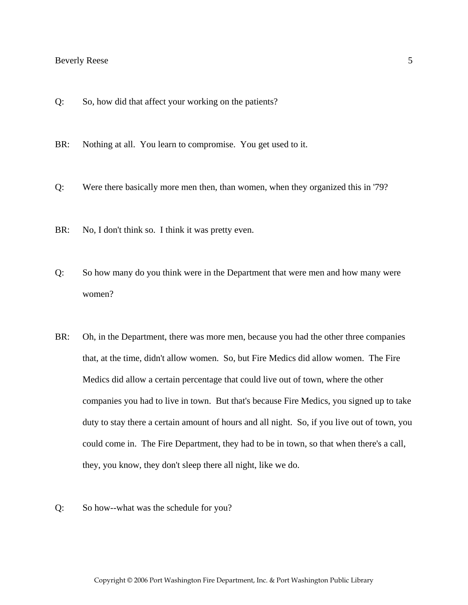- Q: So, how did that affect your working on the patients?
- BR: Nothing at all. You learn to compromise. You get used to it.
- Q: Were there basically more men then, than women, when they organized this in '79?
- BR: No, I don't think so. I think it was pretty even.
- Q: So how many do you think were in the Department that were men and how many were women?
- BR: Oh, in the Department, there was more men, because you had the other three companies that, at the time, didn't allow women. So, but Fire Medics did allow women. The Fire Medics did allow a certain percentage that could live out of town, where the other companies you had to live in town. But that's because Fire Medics, you signed up to take duty to stay there a certain amount of hours and all night. So, if you live out of town, you could come in. The Fire Department, they had to be in town, so that when there's a call, they, you know, they don't sleep there all night, like we do.
- Q: So how--what was the schedule for you?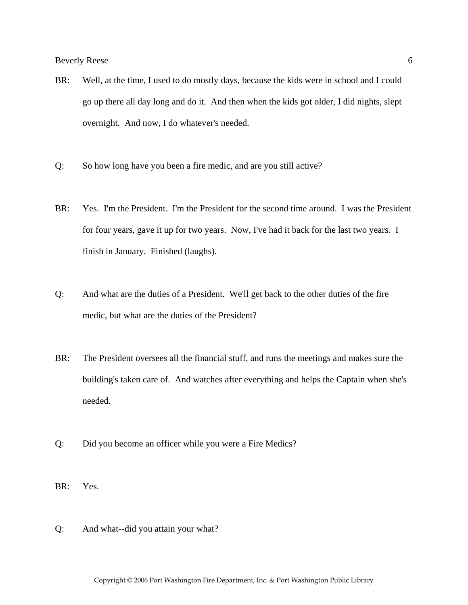- BR: Well, at the time, I used to do mostly days, because the kids were in school and I could go up there all day long and do it. And then when the kids got older, I did nights, slept overnight. And now, I do whatever's needed.
- Q: So how long have you been a fire medic, and are you still active?
- BR: Yes. I'm the President. I'm the President for the second time around. I was the President for four years, gave it up for two years. Now, I've had it back for the last two years. I finish in January. Finished (laughs).
- Q: And what are the duties of a President. We'll get back to the other duties of the fire medic, but what are the duties of the President?
- BR: The President oversees all the financial stuff, and runs the meetings and makes sure the building's taken care of. And watches after everything and helps the Captain when she's needed.
- Q: Did you become an officer while you were a Fire Medics?
- BR: Yes.
- Q: And what--did you attain your what?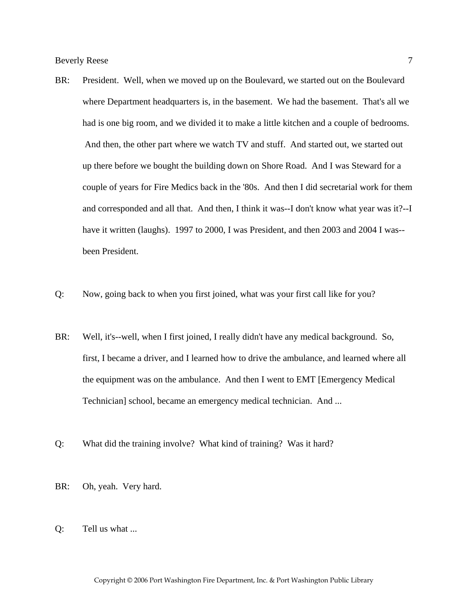- BR: President. Well, when we moved up on the Boulevard, we started out on the Boulevard where Department headquarters is, in the basement. We had the basement. That's all we had is one big room, and we divided it to make a little kitchen and a couple of bedrooms. And then, the other part where we watch TV and stuff. And started out, we started out up there before we bought the building down on Shore Road. And I was Steward for a couple of years for Fire Medics back in the '80s. And then I did secretarial work for them and corresponded and all that. And then, I think it was--I don't know what year was it?--I have it written (laughs). 1997 to 2000, I was President, and then 2003 and 2004 I was-been President.
- Q: Now, going back to when you first joined, what was your first call like for you?
- BR: Well, it's--well, when I first joined, I really didn't have any medical background. So, first, I became a driver, and I learned how to drive the ambulance, and learned where all the equipment was on the ambulance. And then I went to EMT [Emergency Medical Technician] school, became an emergency medical technician. And ...
- Q: What did the training involve? What kind of training? Was it hard?
- BR: Oh, yeah. Very hard.
- Q: Tell us what ...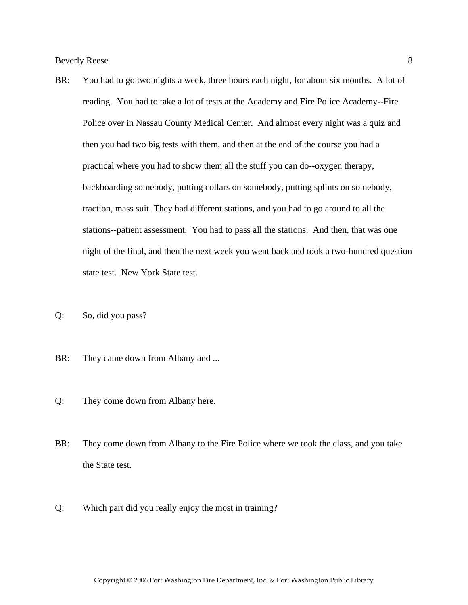- BR: You had to go two nights a week, three hours each night, for about six months. A lot of reading. You had to take a lot of tests at the Academy and Fire Police Academy--Fire Police over in Nassau County Medical Center. And almost every night was a quiz and then you had two big tests with them, and then at the end of the course you had a practical where you had to show them all the stuff you can do--oxygen therapy, backboarding somebody, putting collars on somebody, putting splints on somebody, traction, mass suit. They had different stations, and you had to go around to all the stations--patient assessment. You had to pass all the stations. And then, that was one night of the final, and then the next week you went back and took a two-hundred question state test. New York State test.
- Q: So, did you pass?
- BR: They came down from Albany and ...
- Q: They come down from Albany here.
- BR: They come down from Albany to the Fire Police where we took the class, and you take the State test.
- Q: Which part did you really enjoy the most in training?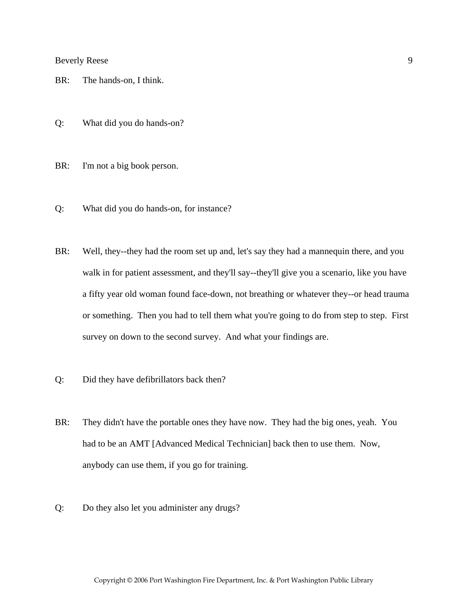- BR: The hands-on, I think.
- Q: What did you do hands-on?
- BR: I'm not a big book person.
- Q: What did you do hands-on, for instance?
- BR: Well, they--they had the room set up and, let's say they had a mannequin there, and you walk in for patient assessment, and they'll say--they'll give you a scenario, like you have a fifty year old woman found face-down, not breathing or whatever they--or head trauma or something. Then you had to tell them what you're going to do from step to step. First survey on down to the second survey. And what your findings are.
- Q: Did they have defibrillators back then?
- BR: They didn't have the portable ones they have now. They had the big ones, yeah. You had to be an AMT [Advanced Medical Technician] back then to use them. Now, anybody can use them, if you go for training.
- Q: Do they also let you administer any drugs?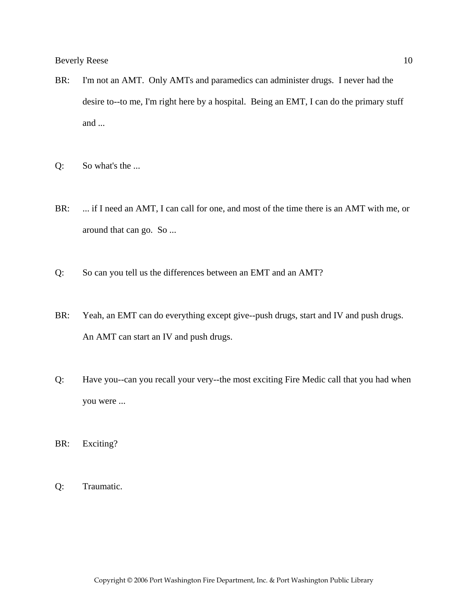- BR: I'm not an AMT. Only AMTs and paramedics can administer drugs. I never had the desire to--to me, I'm right here by a hospital. Being an EMT, I can do the primary stuff and ...
- Q: So what's the ...
- BR: ... if I need an AMT, I can call for one, and most of the time there is an AMT with me, or around that can go. So ...
- Q: So can you tell us the differences between an EMT and an AMT?
- BR: Yeah, an EMT can do everything except give--push drugs, start and IV and push drugs. An AMT can start an IV and push drugs.
- Q: Have you--can you recall your very--the most exciting Fire Medic call that you had when you were ...

BR: Exciting?

Q: Traumatic.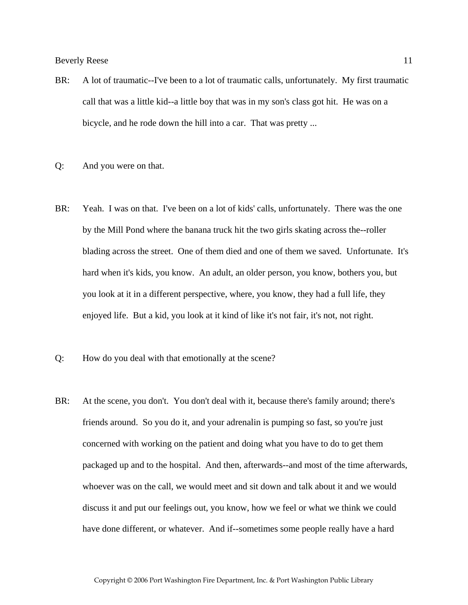- BR: A lot of traumatic--I've been to a lot of traumatic calls, unfortunately. My first traumatic call that was a little kid--a little boy that was in my son's class got hit. He was on a bicycle, and he rode down the hill into a car. That was pretty ...
- Q: And you were on that.
- BR: Yeah. I was on that. I've been on a lot of kids' calls, unfortunately. There was the one by the Mill Pond where the banana truck hit the two girls skating across the--roller blading across the street. One of them died and one of them we saved. Unfortunate. It's hard when it's kids, you know. An adult, an older person, you know, bothers you, but you look at it in a different perspective, where, you know, they had a full life, they enjoyed life. But a kid, you look at it kind of like it's not fair, it's not, not right.
- Q: How do you deal with that emotionally at the scene?
- BR: At the scene, you don't. You don't deal with it, because there's family around; there's friends around. So you do it, and your adrenalin is pumping so fast, so you're just concerned with working on the patient and doing what you have to do to get them packaged up and to the hospital. And then, afterwards--and most of the time afterwards, whoever was on the call, we would meet and sit down and talk about it and we would discuss it and put our feelings out, you know, how we feel or what we think we could have done different, or whatever. And if--sometimes some people really have a hard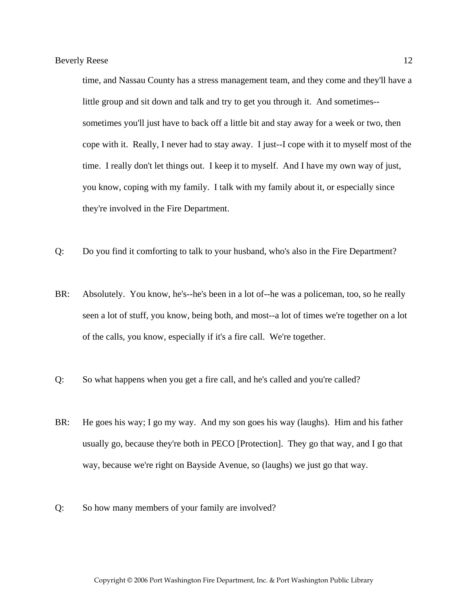time, and Nassau County has a stress management team, and they come and they'll have a little group and sit down and talk and try to get you through it. And sometimes- sometimes you'll just have to back off a little bit and stay away for a week or two, then cope with it. Really, I never had to stay away. I just--I cope with it to myself most of the time. I really don't let things out. I keep it to myself. And I have my own way of just, you know, coping with my family. I talk with my family about it, or especially since they're involved in the Fire Department.

- Q: Do you find it comforting to talk to your husband, who's also in the Fire Department?
- BR: Absolutely. You know, he's--he's been in a lot of--he was a policeman, too, so he really seen a lot of stuff, you know, being both, and most--a lot of times we're together on a lot of the calls, you know, especially if it's a fire call. We're together.
- Q: So what happens when you get a fire call, and he's called and you're called?
- BR: He goes his way; I go my way. And my son goes his way (laughs). Him and his father usually go, because they're both in PECO [Protection]. They go that way, and I go that way, because we're right on Bayside Avenue, so (laughs) we just go that way.
- Q: So how many members of your family are involved?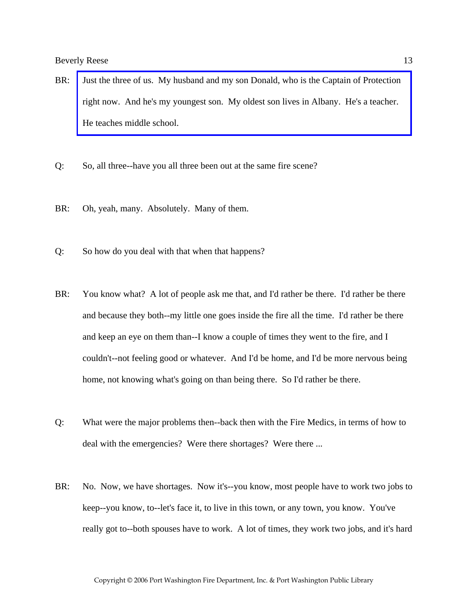- BR: [Just the three of us. My husband and my son Donald, who is the Captain of Protection](http://www.pwfdhistory.com/trans/reesebev_trans/fam_reese003_web.jpg)  right now. And he's my youngest son. My oldest son lives in Albany. He's a teacher. He teaches middle school.
- Q: So, all three--have you all three been out at the same fire scene?
- BR: Oh, yeah, many. Absolutely. Many of them.
- Q: So how do you deal with that when that happens?
- BR: You know what? A lot of people ask me that, and I'd rather be there. I'd rather be there and because they both--my little one goes inside the fire all the time. I'd rather be there and keep an eye on them than--I know a couple of times they went to the fire, and I couldn't--not feeling good or whatever. And I'd be home, and I'd be more nervous being home, not knowing what's going on than being there. So I'd rather be there.
- Q: What were the major problems then--back then with the Fire Medics, in terms of how to deal with the emergencies? Were there shortages? Were there ...
- BR: No. Now, we have shortages. Now it's--you know, most people have to work two jobs to keep--you know, to--let's face it, to live in this town, or any town, you know. You've really got to--both spouses have to work. A lot of times, they work two jobs, and it's hard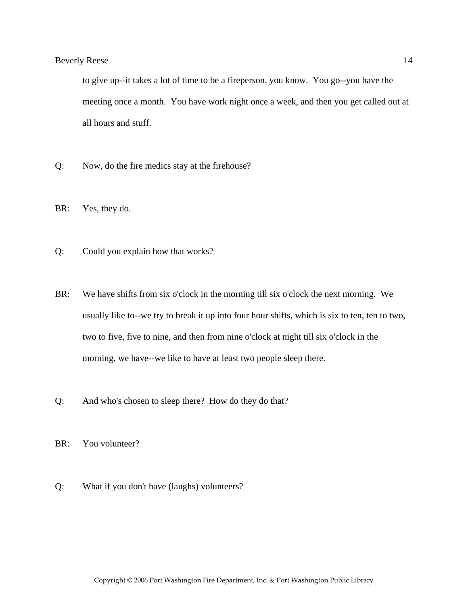to give up--it takes a lot of time to be a fireperson, you know. You go--you have the meeting once a month. You have work night once a week, and then you get called out at all hours and stuff.

- Q: Now, do the fire medics stay at the firehouse?
- BR: Yes, they do.
- Q: Could you explain how that works?
- BR: We have shifts from six o'clock in the morning till six o'clock the next morning. We usually like to--we try to break it up into four hour shifts, which is six to ten, ten to two, two to five, five to nine, and then from nine o'clock at night till six o'clock in the morning, we have--we like to have at least two people sleep there.
- Q: And who's chosen to sleep there? How do they do that?
- BR: You volunteer?
- Q: What if you don't have (laughs) volunteers?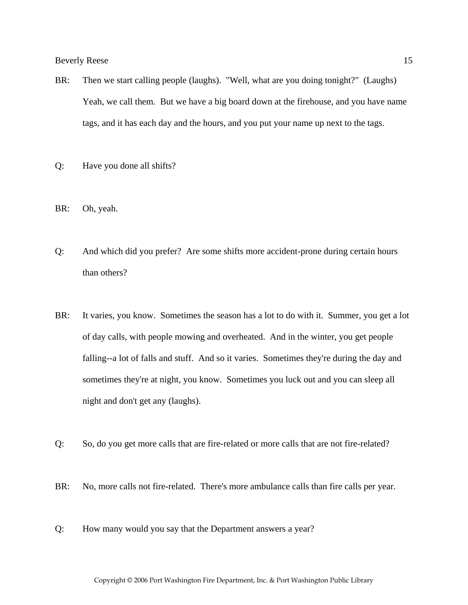- BR: Then we start calling people (laughs). "Well, what are you doing tonight?" (Laughs) Yeah, we call them. But we have a big board down at the firehouse, and you have name tags, and it has each day and the hours, and you put your name up next to the tags.
- Q: Have you done all shifts?
- BR: Oh, yeah.
- Q: And which did you prefer? Are some shifts more accident-prone during certain hours than others?
- BR: It varies, you know. Sometimes the season has a lot to do with it. Summer, you get a lot of day calls, with people mowing and overheated. And in the winter, you get people falling--a lot of falls and stuff. And so it varies. Sometimes they're during the day and sometimes they're at night, you know. Sometimes you luck out and you can sleep all night and don't get any (laughs).
- Q: So, do you get more calls that are fire-related or more calls that are not fire-related?
- BR: No, more calls not fire-related. There's more ambulance calls than fire calls per year.
- Q: How many would you say that the Department answers a year?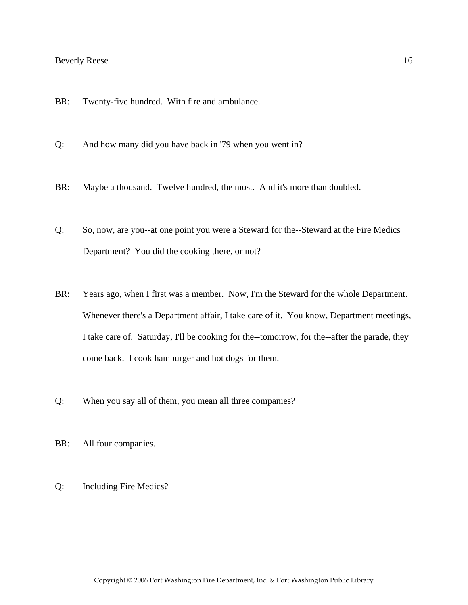- BR: Twenty-five hundred. With fire and ambulance.
- Q: And how many did you have back in '79 when you went in?
- BR: Maybe a thousand. Twelve hundred, the most. And it's more than doubled.
- Q: So, now, are you--at one point you were a Steward for the--Steward at the Fire Medics Department? You did the cooking there, or not?
- BR: Years ago, when I first was a member. Now, I'm the Steward for the whole Department. Whenever there's a Department affair, I take care of it. You know, Department meetings, I take care of. Saturday, I'll be cooking for the--tomorrow, for the--after the parade, they come back. I cook hamburger and hot dogs for them.
- Q: When you say all of them, you mean all three companies?
- BR: All four companies.
- Q: Including Fire Medics?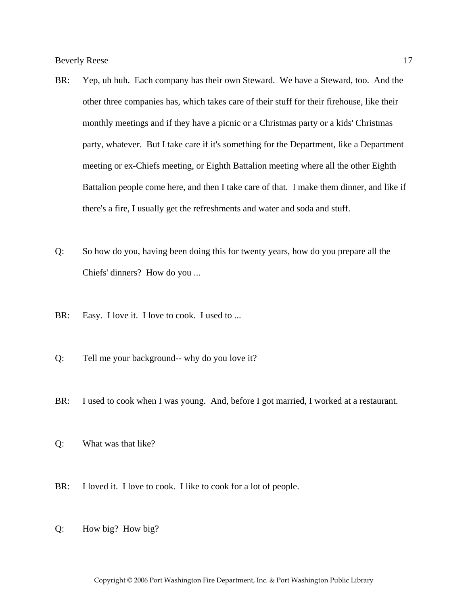- BR: Yep, uh huh. Each company has their own Steward. We have a Steward, too. And the other three companies has, which takes care of their stuff for their firehouse, like their monthly meetings and if they have a picnic or a Christmas party or a kids' Christmas party, whatever. But I take care if it's something for the Department, like a Department meeting or ex-Chiefs meeting, or Eighth Battalion meeting where all the other Eighth Battalion people come here, and then I take care of that. I make them dinner, and like if there's a fire, I usually get the refreshments and water and soda and stuff.
- Q: So how do you, having been doing this for twenty years, how do you prepare all the Chiefs' dinners? How do you ...
- BR: Easy. I love it. I love to cook. I used to ...
- Q: Tell me your background-- why do you love it?
- BR: I used to cook when I was young. And, before I got married, I worked at a restaurant.
- Q: What was that like?
- BR: I loved it. I love to cook. I like to cook for a lot of people.
- Q: How big? How big?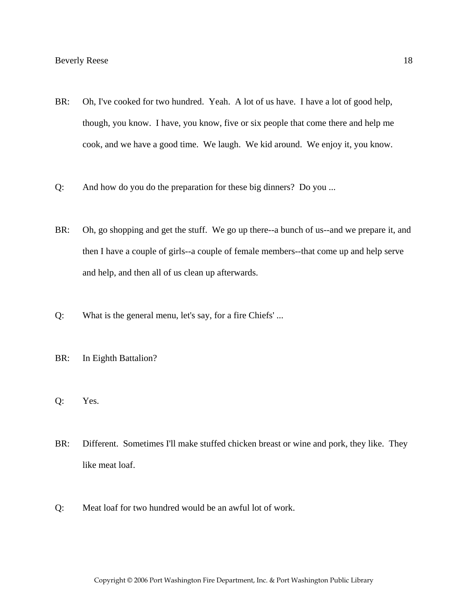- BR: Oh, I've cooked for two hundred. Yeah. A lot of us have. I have a lot of good help, though, you know. I have, you know, five or six people that come there and help me cook, and we have a good time. We laugh. We kid around. We enjoy it, you know.
- Q: And how do you do the preparation for these big dinners? Do you ...
- BR: Oh, go shopping and get the stuff. We go up there--a bunch of us--and we prepare it, and then I have a couple of girls--a couple of female members--that come up and help serve and help, and then all of us clean up afterwards.
- Q: What is the general menu, let's say, for a fire Chiefs' ...
- BR: In Eighth Battalion?
- Q: Yes.
- BR: Different. Sometimes I'll make stuffed chicken breast or wine and pork, they like. They like meat loaf.
- Q: Meat loaf for two hundred would be an awful lot of work.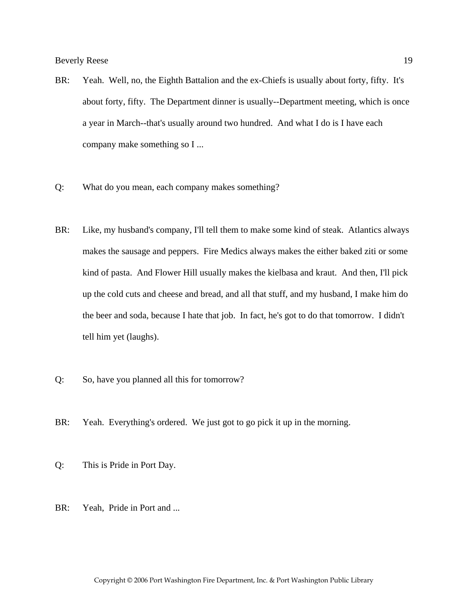- BR: Yeah. Well, no, the Eighth Battalion and the ex-Chiefs is usually about forty, fifty. It's about forty, fifty. The Department dinner is usually--Department meeting, which is once a year in March--that's usually around two hundred. And what I do is I have each company make something so I ...
- Q: What do you mean, each company makes something?
- BR: Like, my husband's company, I'll tell them to make some kind of steak. Atlantics always makes the sausage and peppers. Fire Medics always makes the either baked ziti or some kind of pasta. And Flower Hill usually makes the kielbasa and kraut. And then, I'll pick up the cold cuts and cheese and bread, and all that stuff, and my husband, I make him do the beer and soda, because I hate that job. In fact, he's got to do that tomorrow. I didn't tell him yet (laughs).
- Q: So, have you planned all this for tomorrow?
- BR: Yeah. Everything's ordered. We just got to go pick it up in the morning.
- Q: This is Pride in Port Day.
- BR: Yeah, Pride in Port and ...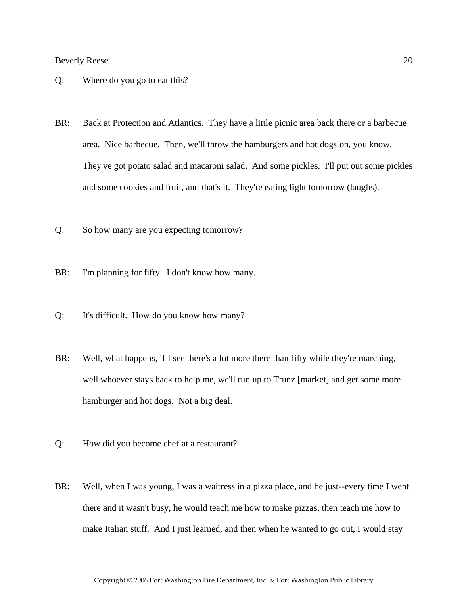- Q: Where do you go to eat this?
- BR: Back at Protection and Atlantics. They have a little picnic area back there or a barbecue area. Nice barbecue. Then, we'll throw the hamburgers and hot dogs on, you know. They've got potato salad and macaroni salad. And some pickles. I'll put out some pickles and some cookies and fruit, and that's it. They're eating light tomorrow (laughs).
- Q: So how many are you expecting tomorrow?
- BR: I'm planning for fifty. I don't know how many.
- Q: It's difficult. How do you know how many?
- BR: Well, what happens, if I see there's a lot more there than fifty while they're marching, well whoever stays back to help me, we'll run up to Trunz [market] and get some more hamburger and hot dogs. Not a big deal.
- Q: How did you become chef at a restaurant?
- BR: Well, when I was young, I was a waitress in a pizza place, and he just--every time I went there and it wasn't busy, he would teach me how to make pizzas, then teach me how to make Italian stuff. And I just learned, and then when he wanted to go out, I would stay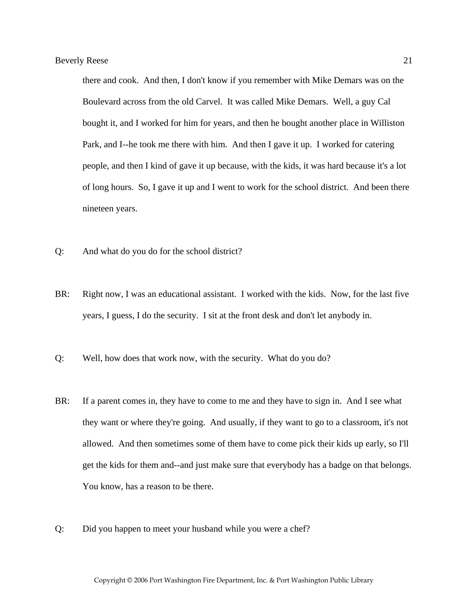there and cook. And then, I don't know if you remember with Mike Demars was on the Boulevard across from the old Carvel. It was called Mike Demars. Well, a guy Cal bought it, and I worked for him for years, and then he bought another place in Williston Park, and I--he took me there with him. And then I gave it up. I worked for catering people, and then I kind of gave it up because, with the kids, it was hard because it's a lot of long hours. So, I gave it up and I went to work for the school district. And been there nineteen years.

- Q: And what do you do for the school district?
- BR: Right now, I was an educational assistant. I worked with the kids. Now, for the last five years, I guess, I do the security. I sit at the front desk and don't let anybody in.
- Q: Well, how does that work now, with the security. What do you do?
- BR: If a parent comes in, they have to come to me and they have to sign in. And I see what they want or where they're going. And usually, if they want to go to a classroom, it's not allowed. And then sometimes some of them have to come pick their kids up early, so I'll get the kids for them and--and just make sure that everybody has a badge on that belongs. You know, has a reason to be there.
- Q: Did you happen to meet your husband while you were a chef?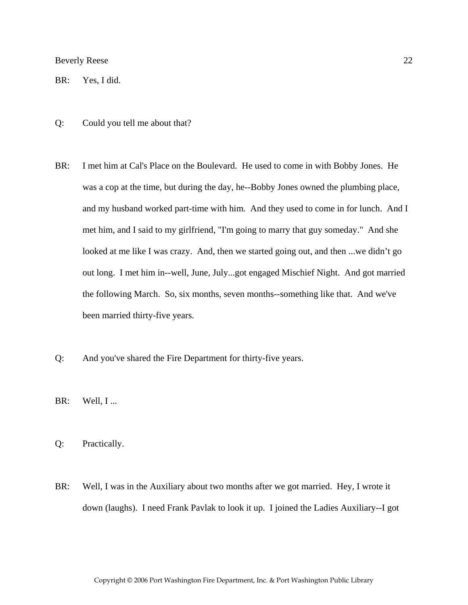BR: Yes, I did.

- Q: Could you tell me about that?
- BR: I met him at Cal's Place on the Boulevard. He used to come in with Bobby Jones. He was a cop at the time, but during the day, he--Bobby Jones owned the plumbing place, and my husband worked part-time with him. And they used to come in for lunch. And I met him, and I said to my girlfriend, "I'm going to marry that guy someday." And she looked at me like I was crazy. And, then we started going out, and then ...we didn't go out long. I met him in--well, June, July...got engaged Mischief Night. And got married the following March. So, six months, seven months--something like that. And we've been married thirty-five years.
- Q: And you've shared the Fire Department for thirty-five years.
- $BR:$  Well, I...
- Q: Practically.
- BR: Well, I was in the Auxiliary about two months after we got married. Hey, I wrote it down (laughs). I need Frank Pavlak to look it up. I joined the Ladies Auxiliary--I got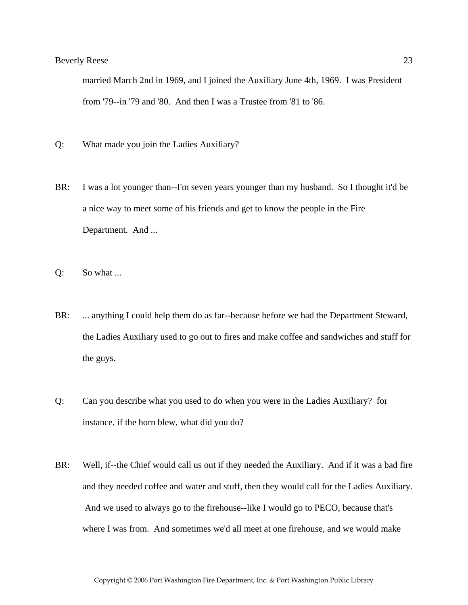married March 2nd in 1969, and I joined the Auxiliary June 4th, 1969. I was President from '79--in '79 and '80. And then I was a Trustee from '81 to '86.

- Q: What made you join the Ladies Auxiliary?
- BR: I was a lot younger than--I'm seven years younger than my husband. So I thought it'd be a nice way to meet some of his friends and get to know the people in the Fire Department. And ...
- Q: So what ...
- BR: ... anything I could help them do as far--because before we had the Department Steward, the Ladies Auxiliary used to go out to fires and make coffee and sandwiches and stuff for the guys.
- Q: Can you describe what you used to do when you were in the Ladies Auxiliary? for instance, if the horn blew, what did you do?
- BR: Well, if--the Chief would call us out if they needed the Auxiliary. And if it was a bad fire and they needed coffee and water and stuff, then they would call for the Ladies Auxiliary. And we used to always go to the firehouse--like I would go to PECO, because that's where I was from. And sometimes we'd all meet at one firehouse, and we would make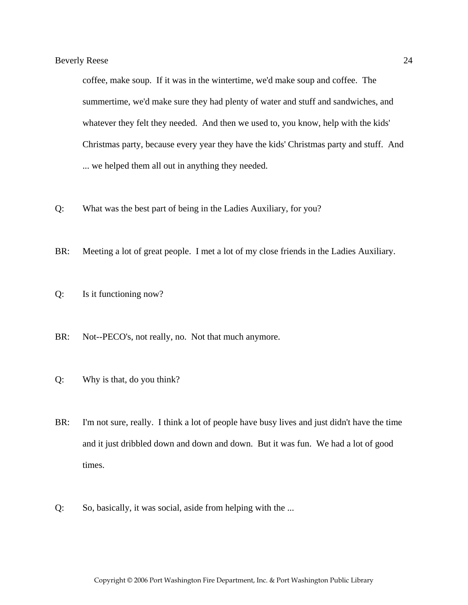coffee, make soup. If it was in the wintertime, we'd make soup and coffee. The summertime, we'd make sure they had plenty of water and stuff and sandwiches, and whatever they felt they needed. And then we used to, you know, help with the kids' Christmas party, because every year they have the kids' Christmas party and stuff. And ... we helped them all out in anything they needed.

- Q: What was the best part of being in the Ladies Auxiliary, for you?
- BR: Meeting a lot of great people. I met a lot of my close friends in the Ladies Auxiliary.
- Q: Is it functioning now?
- BR: Not--PECO's, not really, no. Not that much anymore.
- Q: Why is that, do you think?
- BR: I'm not sure, really. I think a lot of people have busy lives and just didn't have the time and it just dribbled down and down and down. But it was fun. We had a lot of good times.
- Q: So, basically, it was social, aside from helping with the ...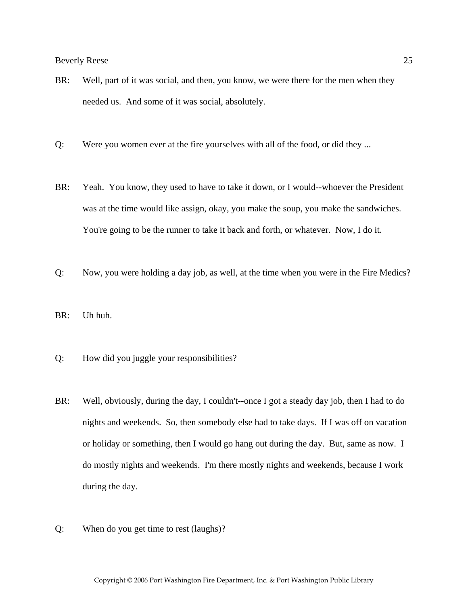- BR: Well, part of it was social, and then, you know, we were there for the men when they needed us. And some of it was social, absolutely.
- Q: Were you women ever at the fire yourselves with all of the food, or did they ...
- BR: Yeah. You know, they used to have to take it down, or I would--whoever the President was at the time would like assign, okay, you make the soup, you make the sandwiches. You're going to be the runner to take it back and forth, or whatever. Now, I do it.
- Q: Now, you were holding a day job, as well, at the time when you were in the Fire Medics?
- BR: Uh huh.
- Q: How did you juggle your responsibilities?
- BR: Well, obviously, during the day, I couldn't-once I got a steady day job, then I had to do nights and weekends. So, then somebody else had to take days. If I was off on vacation or holiday or something, then I would go hang out during the day. But, same as now. I do mostly nights and weekends. I'm there mostly nights and weekends, because I work during the day.
- Q: When do you get time to rest (laughs)?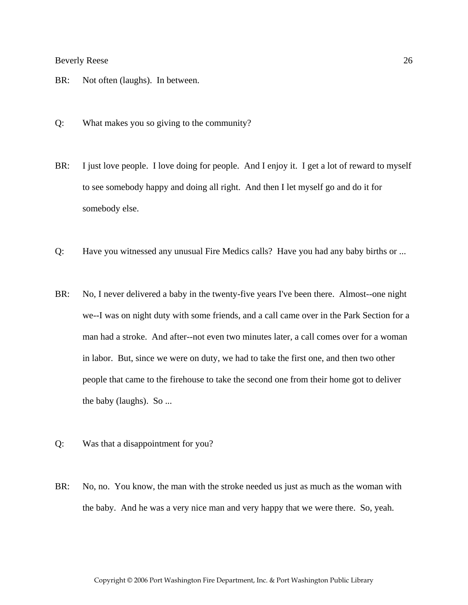- BR: Not often (laughs). In between.
- Q: What makes you so giving to the community?
- BR: I just love people. I love doing for people. And I enjoy it. I get a lot of reward to myself to see somebody happy and doing all right. And then I let myself go and do it for somebody else.
- Q: Have you witnessed any unusual Fire Medics calls? Have you had any baby births or ...
- BR: No, I never delivered a baby in the twenty-five years I've been there. Almost--one night we--I was on night duty with some friends, and a call came over in the Park Section for a man had a stroke. And after--not even two minutes later, a call comes over for a woman in labor. But, since we were on duty, we had to take the first one, and then two other people that came to the firehouse to take the second one from their home got to deliver the baby (laughs). So ...
- Q: Was that a disappointment for you?
- BR: No, no. You know, the man with the stroke needed us just as much as the woman with the baby. And he was a very nice man and very happy that we were there. So, yeah.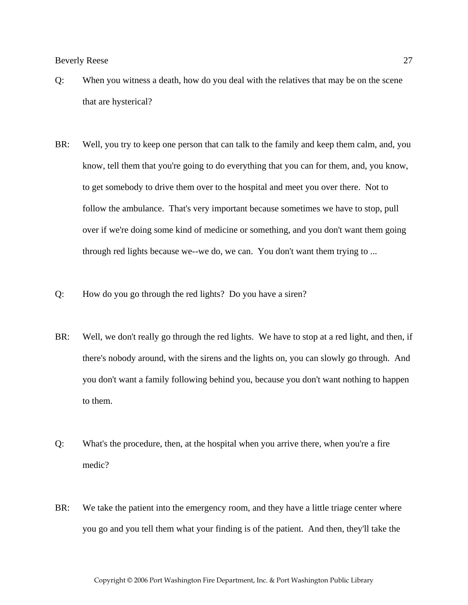- Q: When you witness a death, how do you deal with the relatives that may be on the scene that are hysterical?
- BR: Well, you try to keep one person that can talk to the family and keep them calm, and, you know, tell them that you're going to do everything that you can for them, and, you know, to get somebody to drive them over to the hospital and meet you over there. Not to follow the ambulance. That's very important because sometimes we have to stop, pull over if we're doing some kind of medicine or something, and you don't want them going through red lights because we--we do, we can. You don't want them trying to ...
- Q: How do you go through the red lights? Do you have a siren?
- BR: Well, we don't really go through the red lights. We have to stop at a red light, and then, if there's nobody around, with the sirens and the lights on, you can slowly go through. And you don't want a family following behind you, because you don't want nothing to happen to them.
- Q: What's the procedure, then, at the hospital when you arrive there, when you're a fire medic?
- BR: We take the patient into the emergency room, and they have a little triage center where you go and you tell them what your finding is of the patient. And then, they'll take the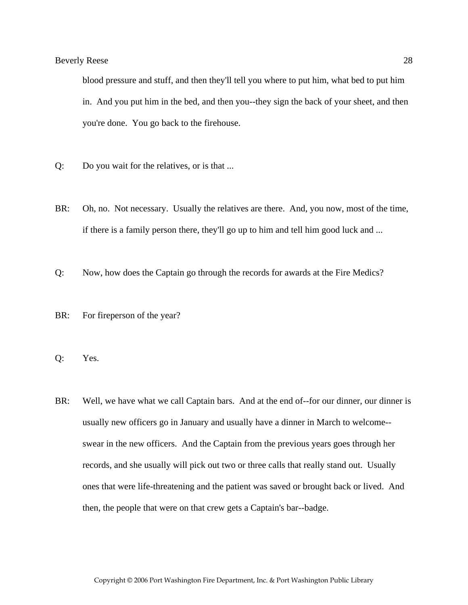blood pressure and stuff, and then they'll tell you where to put him, what bed to put him in. And you put him in the bed, and then you--they sign the back of your sheet, and then you're done. You go back to the firehouse.

- Q: Do you wait for the relatives, or is that ...
- BR: Oh, no. Not necessary. Usually the relatives are there. And, you now, most of the time, if there is a family person there, they'll go up to him and tell him good luck and ...
- Q: Now, how does the Captain go through the records for awards at the Fire Medics?
- BR: For fireperson of the year?
- Q: Yes.
- BR: Well, we have what we call Captain bars. And at the end of--for our dinner, our dinner is usually new officers go in January and usually have a dinner in March to welcome- swear in the new officers. And the Captain from the previous years goes through her records, and she usually will pick out two or three calls that really stand out. Usually ones that were life-threatening and the patient was saved or brought back or lived. And then, the people that were on that crew gets a Captain's bar--badge.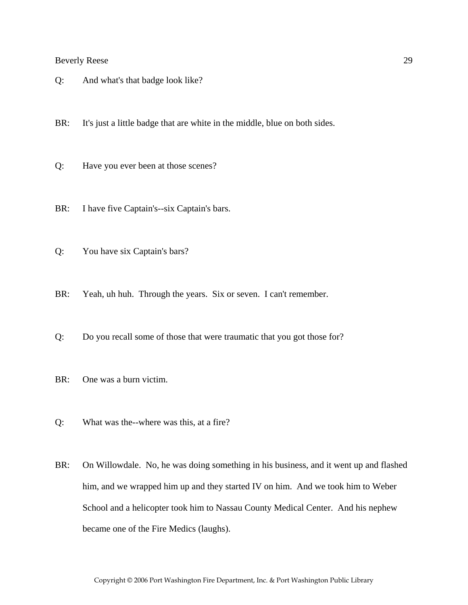Q: And what's that badge look like?

BR: It's just a little badge that are white in the middle, blue on both sides.

- Q: Have you ever been at those scenes?
- BR: I have five Captain's--six Captain's bars.
- Q: You have six Captain's bars?
- BR: Yeah, uh huh. Through the years. Six or seven. I can't remember.
- Q: Do you recall some of those that were traumatic that you got those for?
- BR: One was a burn victim.
- Q: What was the--where was this, at a fire?
- BR: On Willowdale. No, he was doing something in his business, and it went up and flashed him, and we wrapped him up and they started IV on him. And we took him to Weber School and a helicopter took him to Nassau County Medical Center. And his nephew became one of the Fire Medics (laughs).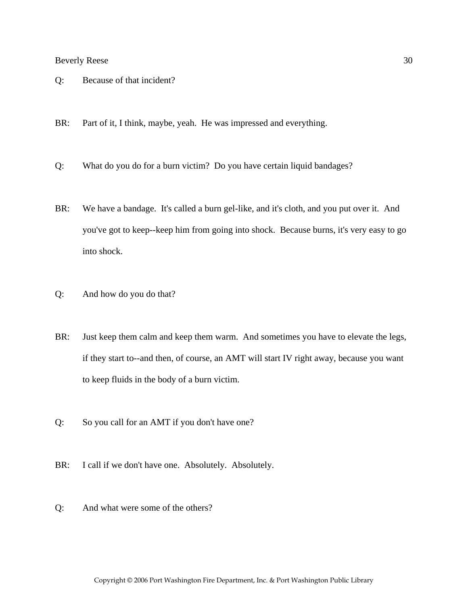- Q: Because of that incident?
- BR: Part of it, I think, maybe, yeah. He was impressed and everything.
- Q: What do you do for a burn victim? Do you have certain liquid bandages?
- BR: We have a bandage. It's called a burn gel-like, and it's cloth, and you put over it. And you've got to keep--keep him from going into shock. Because burns, it's very easy to go into shock.
- Q: And how do you do that?
- BR: Just keep them calm and keep them warm. And sometimes you have to elevate the legs, if they start to--and then, of course, an AMT will start IV right away, because you want to keep fluids in the body of a burn victim.
- Q: So you call for an AMT if you don't have one?
- BR: I call if we don't have one. Absolutely. Absolutely.
- Q: And what were some of the others?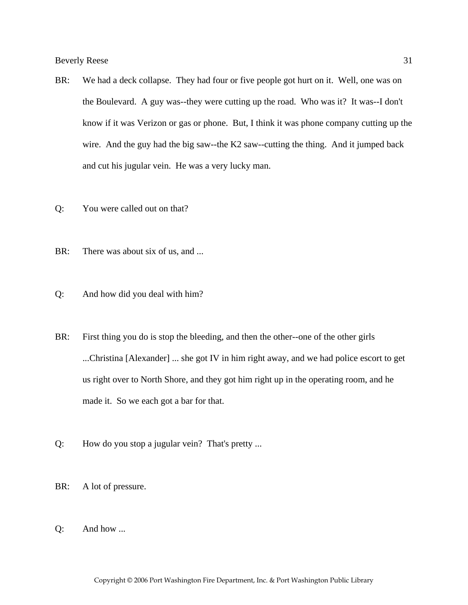- BR: We had a deck collapse. They had four or five people got hurt on it. Well, one was on the Boulevard. A guy was--they were cutting up the road. Who was it? It was--I don't know if it was Verizon or gas or phone. But, I think it was phone company cutting up the wire. And the guy had the big saw--the K2 saw--cutting the thing. And it jumped back and cut his jugular vein. He was a very lucky man.
- Q: You were called out on that?
- BR: There was about six of us, and ...
- Q: And how did you deal with him?
- BR: First thing you do is stop the bleeding, and then the other--one of the other girls ...Christina [Alexander] ... she got IV in him right away, and we had police escort to get us right over to North Shore, and they got him right up in the operating room, and he made it. So we each got a bar for that.
- Q: How do you stop a jugular vein? That's pretty ...
- BR: A lot of pressure.
- Q: And how ...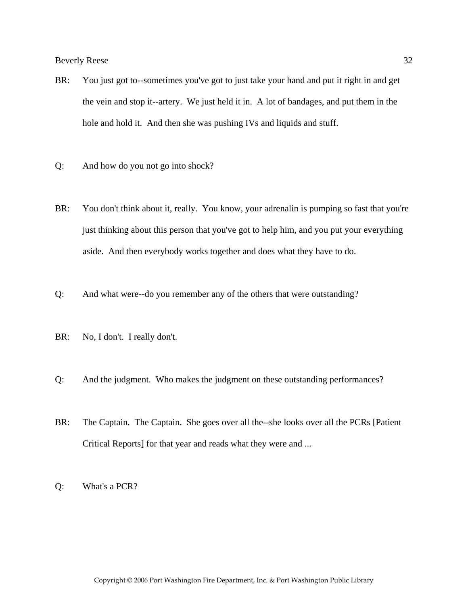- BR: You just got to--sometimes you've got to just take your hand and put it right in and get the vein and stop it--artery. We just held it in. A lot of bandages, and put them in the hole and hold it. And then she was pushing IVs and liquids and stuff.
- Q: And how do you not go into shock?
- BR: You don't think about it, really. You know, your adrenalin is pumping so fast that you're just thinking about this person that you've got to help him, and you put your everything aside. And then everybody works together and does what they have to do.
- Q: And what were--do you remember any of the others that were outstanding?
- BR: No, I don't. I really don't.
- Q: And the judgment. Who makes the judgment on these outstanding performances?
- BR: The Captain. The Captain. She goes over all the--she looks over all the PCRs [Patient] Critical Reports] for that year and reads what they were and ...
- Q: What's a PCR?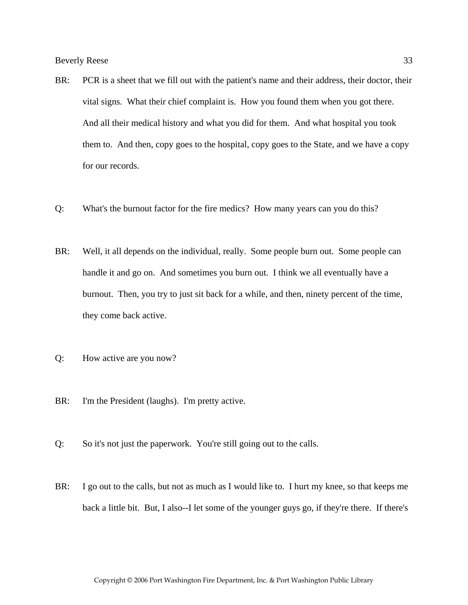- BR: PCR is a sheet that we fill out with the patient's name and their address, their doctor, their vital signs. What their chief complaint is. How you found them when you got there. And all their medical history and what you did for them. And what hospital you took them to. And then, copy goes to the hospital, copy goes to the State, and we have a copy for our records.
- Q: What's the burnout factor for the fire medics? How many years can you do this?
- BR: Well, it all depends on the individual, really. Some people burn out. Some people can handle it and go on. And sometimes you burn out. I think we all eventually have a burnout. Then, you try to just sit back for a while, and then, ninety percent of the time, they come back active.
- Q: How active are you now?
- BR: I'm the President (laughs). I'm pretty active.
- Q: So it's not just the paperwork. You're still going out to the calls.
- BR: I go out to the calls, but not as much as I would like to. I hurt my knee, so that keeps me back a little bit. But, I also--I let some of the younger guys go, if they're there. If there's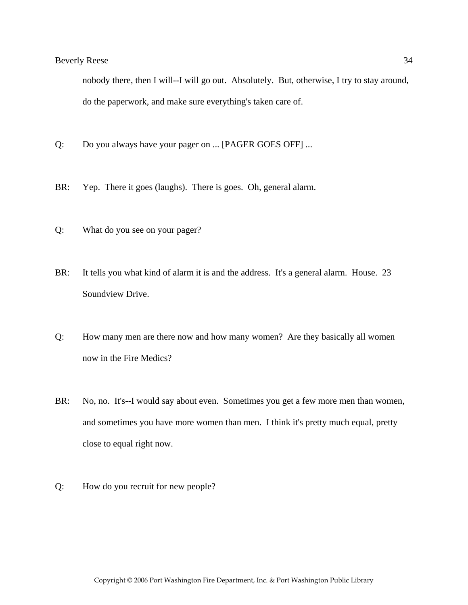nobody there, then I will--I will go out. Absolutely. But, otherwise, I try to stay around, do the paperwork, and make sure everything's taken care of.

- Q: Do you always have your pager on ... [PAGER GOES OFF] ...
- BR: Yep. There it goes (laughs). There is goes. Oh, general alarm.
- Q: What do you see on your pager?
- BR: It tells you what kind of alarm it is and the address. It's a general alarm. House. 23 Soundview Drive.
- Q: How many men are there now and how many women? Are they basically all women now in the Fire Medics?
- BR: No, no. It's--I would say about even. Sometimes you get a few more men than women, and sometimes you have more women than men. I think it's pretty much equal, pretty close to equal right now.
- Q: How do you recruit for new people?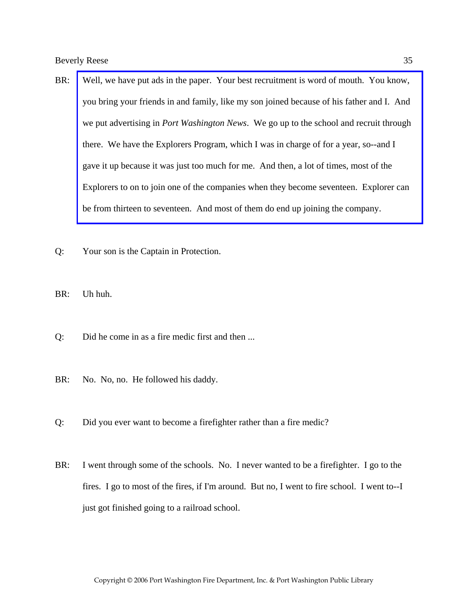- BR: Well, we have put ads in the paper. Your best recruitment is word of mouth. You know, you bring your friends in and family, like my son joined because of his father and I. And we put advertising in *Port Washington News*. We go up to the school and recruit through there. We have the Explorers Program, which I was in charge of for a year, so--and I gave it up because it was just too much for me. And then, a lot of times, most of the Explorers to on to join one of the companies when they become seventeen. Explorer can be from thirteen to seventeen. And most of them do end up joining the company.
- Q: Your son is the Captain in Protection.
- BR: Uh huh.
- Q: Did he come in as a fire medic first and then ...
- BR: No. No, no. He followed his daddy.
- Q: Did you ever want to become a firefighter rather than a fire medic?
- BR: I went through some of the schools. No. I never wanted to be a firefighter. I go to the fires. I go to most of the fires, if I'm around. But no, I went to fire school. I went to--I just got finished going to a railroad school.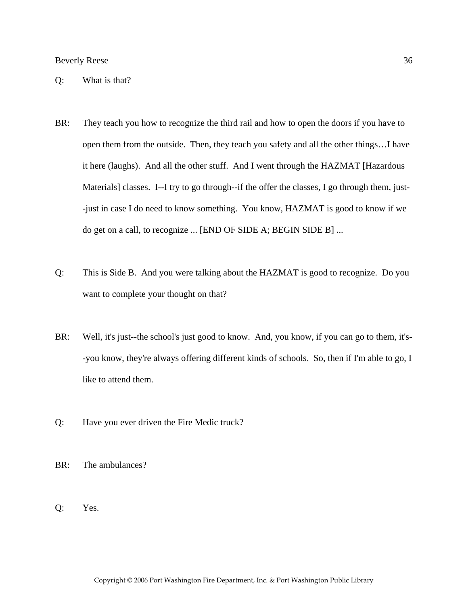Q: What is that?

- BR: They teach you how to recognize the third rail and how to open the doors if you have to open them from the outside. Then, they teach you safety and all the other things…I have it here (laughs). And all the other stuff. And I went through the HAZMAT [Hazardous Materials] classes. I--I try to go through--if the offer the classes, I go through them, just--just in case I do need to know something. You know, HAZMAT is good to know if we do get on a call, to recognize ... [END OF SIDE A; BEGIN SIDE B] ...
- Q: This is Side B. And you were talking about the HAZMAT is good to recognize. Do you want to complete your thought on that?
- BR: Well, it's just--the school's just good to know. And, you know, if you can go to them, it's--you know, they're always offering different kinds of schools. So, then if I'm able to go, I like to attend them.
- Q: Have you ever driven the Fire Medic truck?
- BR: The ambulances?
- Q: Yes.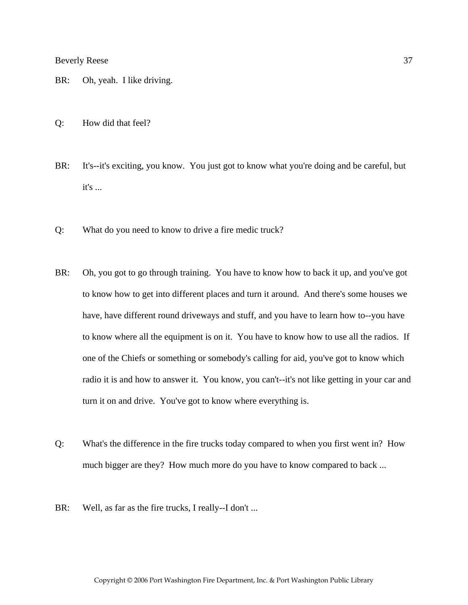- BR: Oh, yeah. I like driving.
- Q: How did that feel?
- BR: It's--it's exciting, you know. You just got to know what you're doing and be careful, but it's ...
- Q: What do you need to know to drive a fire medic truck?
- BR: Oh, you got to go through training. You have to know how to back it up, and you've got to know how to get into different places and turn it around. And there's some houses we have, have different round driveways and stuff, and you have to learn how to--you have to know where all the equipment is on it. You have to know how to use all the radios. If one of the Chiefs or something or somebody's calling for aid, you've got to know which radio it is and how to answer it. You know, you can't--it's not like getting in your car and turn it on and drive. You've got to know where everything is.
- Q: What's the difference in the fire trucks today compared to when you first went in? How much bigger are they? How much more do you have to know compared to back ...
- BR: Well, as far as the fire trucks, I really--I don't ...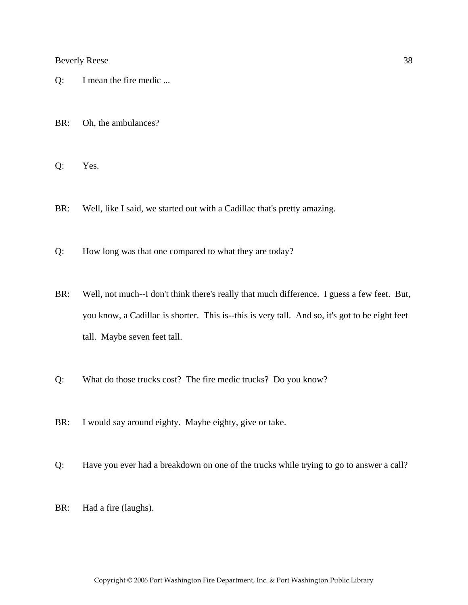- Q: I mean the fire medic ...
- BR: Oh, the ambulances?
- Q: Yes.
- BR: Well, like I said, we started out with a Cadillac that's pretty amazing.
- Q: How long was that one compared to what they are today?
- BR: Well, not much--I don't think there's really that much difference. I guess a few feet. But, you know, a Cadillac is shorter. This is--this is very tall. And so, it's got to be eight feet tall. Maybe seven feet tall.
- Q: What do those trucks cost? The fire medic trucks? Do you know?
- BR: I would say around eighty. Maybe eighty, give or take.
- Q: Have you ever had a breakdown on one of the trucks while trying to go to answer a call?
- BR: Had a fire (laughs).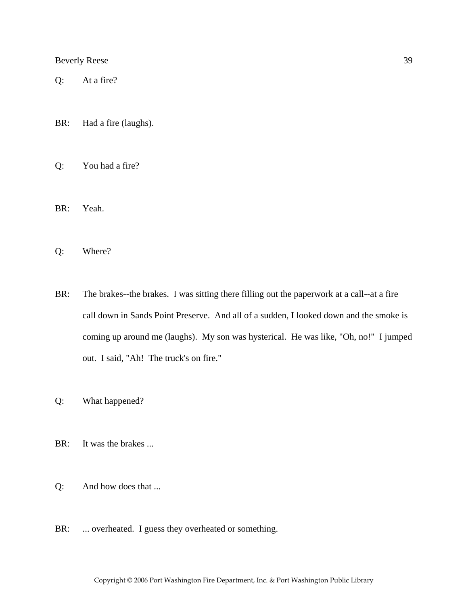Q: At a fire?

BR: Had a fire (laughs).

Q: You had a fire?

BR: Yeah.

Q: Where?

- BR: The brakes--the brakes. I was sitting there filling out the paperwork at a call--at a fire call down in Sands Point Preserve. And all of a sudden, I looked down and the smoke is coming up around me (laughs). My son was hysterical. He was like, "Oh, no!" I jumped out. I said, "Ah! The truck's on fire."
- Q: What happened?
- BR: It was the brakes ...
- Q: And how does that ...
- BR: ... overheated. I guess they overheated or something.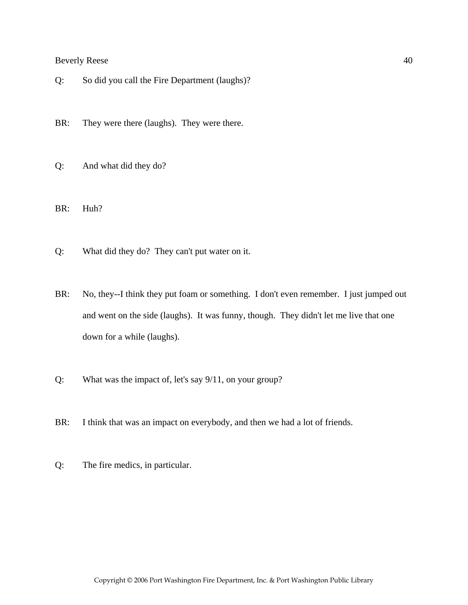Q: So did you call the Fire Department (laughs)?

BR: They were there (laughs). They were there.

Q: And what did they do?

BR: Huh?

- Q: What did they do? They can't put water on it.
- BR: No, they--I think they put foam or something. I don't even remember. I just jumped out and went on the side (laughs). It was funny, though. They didn't let me live that one down for a while (laughs).
- Q: What was the impact of, let's say 9/11, on your group?
- BR: I think that was an impact on everybody, and then we had a lot of friends.
- Q: The fire medics, in particular.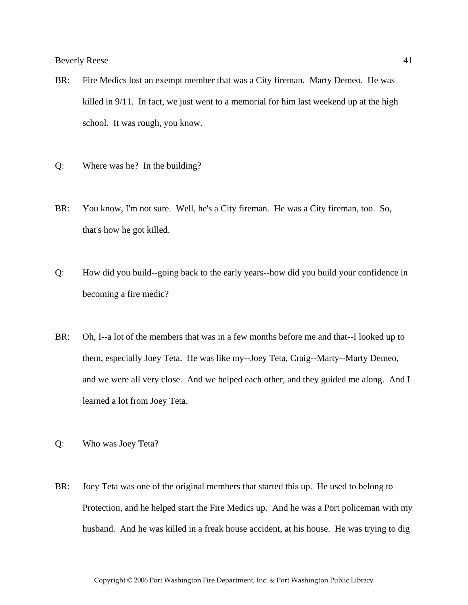- BR: Fire Medics lost an exempt member that was a City fireman. Marty Demeo. He was killed in 9/11. In fact, we just went to a memorial for him last weekend up at the high school. It was rough, you know.
- Q: Where was he? In the building?
- BR: You know, I'm not sure. Well, he's a City fireman. He was a City fireman, too. So, that's how he got killed.
- Q: How did you build--going back to the early years--how did you build your confidence in becoming a fire medic?
- BR: Oh, I--a lot of the members that was in a few months before me and that--I looked up to them, especially Joey Teta. He was like my--Joey Teta, Craig--Marty--Marty Demeo, and we were all very close. And we helped each other, and they guided me along. And I learned a lot from Joey Teta.
- Q: Who was Joey Teta?
- BR: Joey Teta was one of the original members that started this up. He used to belong to Protection, and he helped start the Fire Medics up. And he was a Port policeman with my husband. And he was killed in a freak house accident, at his house. He was trying to dig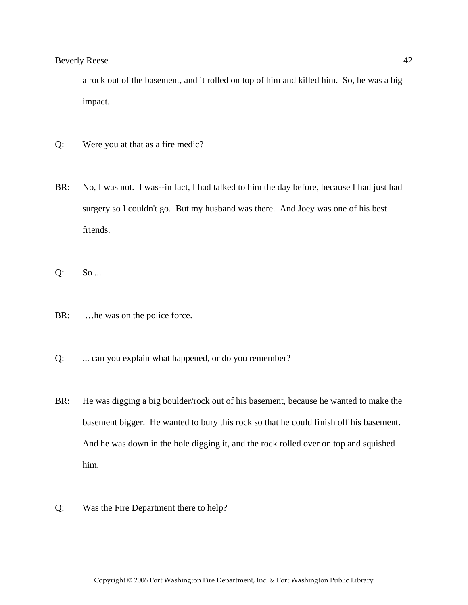a rock out of the basement, and it rolled on top of him and killed him. So, he was a big impact.

- Q: Were you at that as a fire medic?
- BR: No, I was not. I was--in fact, I had talked to him the day before, because I had just had surgery so I couldn't go. But my husband was there. And Joey was one of his best friends.
- Q: So ...
- BR: ... he was on the police force.
- Q: ... can you explain what happened, or do you remember?
- BR: He was digging a big boulder/rock out of his basement, because he wanted to make the basement bigger. He wanted to bury this rock so that he could finish off his basement. And he was down in the hole digging it, and the rock rolled over on top and squished him.
- Q: Was the Fire Department there to help?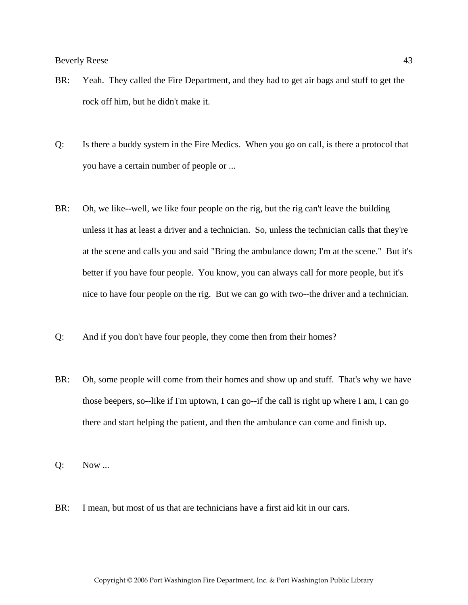- BR: Yeah. They called the Fire Department, and they had to get air bags and stuff to get the rock off him, but he didn't make it.
- Q: Is there a buddy system in the Fire Medics. When you go on call, is there a protocol that you have a certain number of people or ...
- BR: Oh, we like--well, we like four people on the rig, but the rig can't leave the building unless it has at least a driver and a technician. So, unless the technician calls that they're at the scene and calls you and said "Bring the ambulance down; I'm at the scene." But it's better if you have four people. You know, you can always call for more people, but it's nice to have four people on the rig. But we can go with two--the driver and a technician.
- Q: And if you don't have four people, they come then from their homes?
- BR: Oh, some people will come from their homes and show up and stuff. That's why we have those beepers, so--like if I'm uptown, I can go--if the call is right up where I am, I can go there and start helping the patient, and then the ambulance can come and finish up.
- Q: Now ...
- BR: I mean, but most of us that are technicians have a first aid kit in our cars.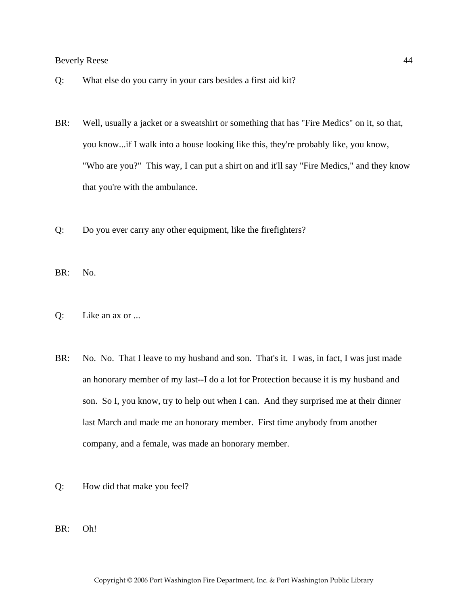- Q: What else do you carry in your cars besides a first aid kit?
- BR: Well, usually a jacket or a sweatshirt or something that has "Fire Medics" on it, so that, you know...if I walk into a house looking like this, they're probably like, you know, "Who are you?" This way, I can put a shirt on and it'll say "Fire Medics," and they know that you're with the ambulance.
- Q: Do you ever carry any other equipment, like the firefighters?

BR: No.

- Q: Like an ax or ...
- BR: No. No. That I leave to my husband and son. That's it. I was, in fact, I was just made an honorary member of my last--I do a lot for Protection because it is my husband and son. So I, you know, try to help out when I can. And they surprised me at their dinner last March and made me an honorary member. First time anybody from another company, and a female, was made an honorary member.
- Q: How did that make you feel?
- BR: Oh!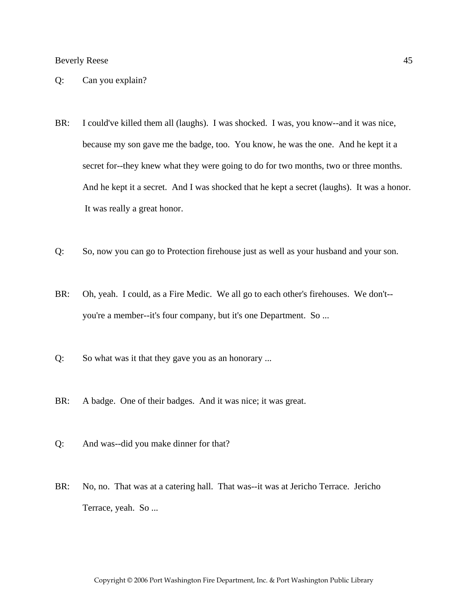- Q: Can you explain?
- BR: I could've killed them all (laughs). I was shocked. I was, you know--and it was nice, because my son gave me the badge, too. You know, he was the one. And he kept it a secret for--they knew what they were going to do for two months, two or three months. And he kept it a secret. And I was shocked that he kept a secret (laughs). It was a honor. It was really a great honor.
- Q: So, now you can go to Protection firehouse just as well as your husband and your son.
- BR: Oh, yeah. I could, as a Fire Medic. We all go to each other's firehouses. We don't- you're a member--it's four company, but it's one Department. So ...
- Q: So what was it that they gave you as an honorary ...
- BR: A badge. One of their badges. And it was nice; it was great.
- Q: And was--did you make dinner for that?
- BR: No, no. That was at a catering hall. That was--it was at Jericho Terrace. Jericho Terrace, yeah. So ...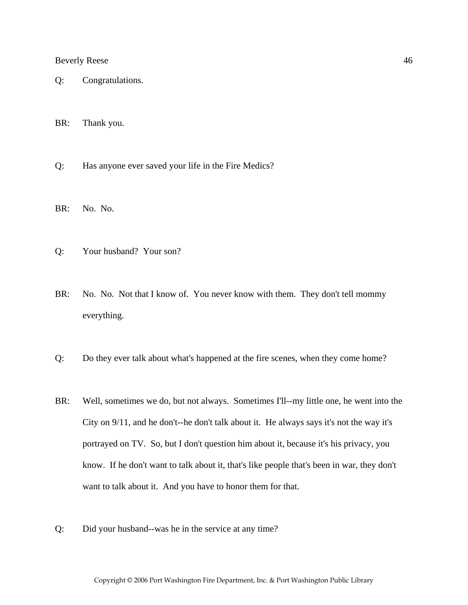- Q: Congratulations.
- BR: Thank you.
- Q: Has anyone ever saved your life in the Fire Medics?
- BR: No. No.
- Q: Your husband? Your son?
- BR: No. No. Not that I know of. You never know with them. They don't tell mommy everything.
- Q: Do they ever talk about what's happened at the fire scenes, when they come home?
- BR: Well, sometimes we do, but not always. Sometimes I'll--my little one, he went into the City on 9/11, and he don't--he don't talk about it. He always says it's not the way it's portrayed on TV. So, but I don't question him about it, because it's his privacy, you know. If he don't want to talk about it, that's like people that's been in war, they don't want to talk about it. And you have to honor them for that.
- Q: Did your husband--was he in the service at any time?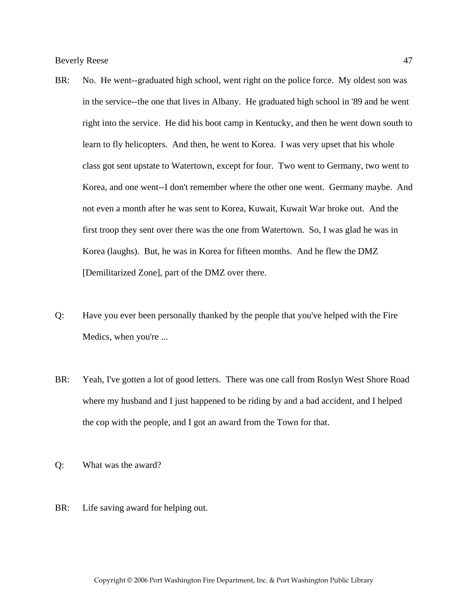- BR: No. He went--graduated high school, went right on the police force. My oldest son was in the service--the one that lives in Albany. He graduated high school in '89 and he went right into the service. He did his boot camp in Kentucky, and then he went down south to learn to fly helicopters. And then, he went to Korea. I was very upset that his whole class got sent upstate to Watertown, except for four. Two went to Germany, two went to Korea, and one went--I don't remember where the other one went. Germany maybe. And not even a month after he was sent to Korea, Kuwait, Kuwait War broke out. And the first troop they sent over there was the one from Watertown. So, I was glad he was in Korea (laughs). But, he was in Korea for fifteen months. And he flew the DMZ [Demilitarized Zone], part of the DMZ over there.
- Q: Have you ever been personally thanked by the people that you've helped with the Fire Medics, when you're ...
- BR: Yeah, I've gotten a lot of good letters. There was one call from Roslyn West Shore Road where my husband and I just happened to be riding by and a bad accident, and I helped the cop with the people, and I got an award from the Town for that.
- Q: What was the award?
- BR: Life saving award for helping out.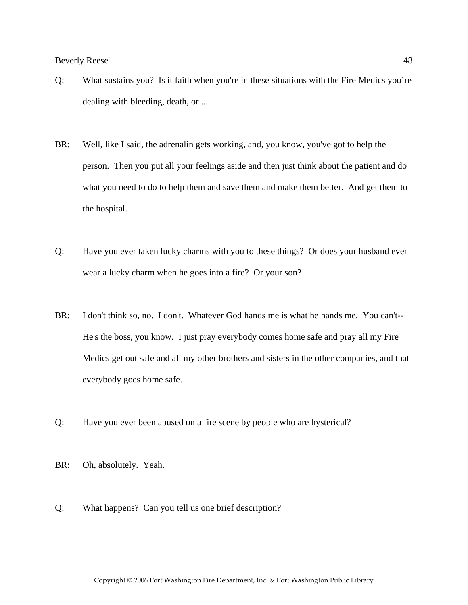- Q: What sustains you? Is it faith when you're in these situations with the Fire Medics you're dealing with bleeding, death, or ...
- BR: Well, like I said, the adrenalin gets working, and, you know, you've got to help the person. Then you put all your feelings aside and then just think about the patient and do what you need to do to help them and save them and make them better. And get them to the hospital.
- Q: Have you ever taken lucky charms with you to these things? Or does your husband ever wear a lucky charm when he goes into a fire? Or your son?
- BR: I don't think so, no. I don't. Whatever God hands me is what he hands me. You can't--He's the boss, you know. I just pray everybody comes home safe and pray all my Fire Medics get out safe and all my other brothers and sisters in the other companies, and that everybody goes home safe.
- Q: Have you ever been abused on a fire scene by people who are hysterical?
- BR: Oh, absolutely. Yeah.
- Q: What happens? Can you tell us one brief description?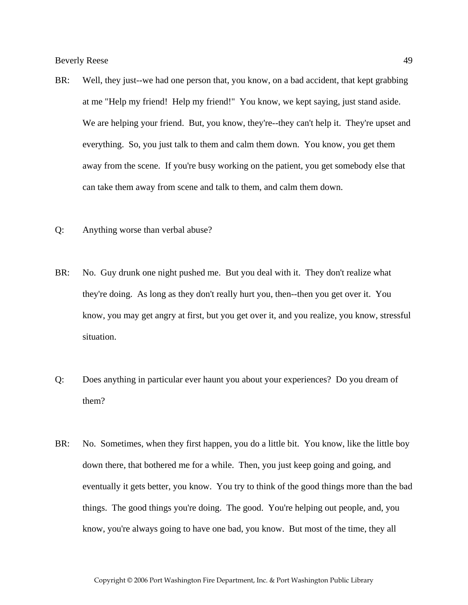- BR: Well, they just--we had one person that, you know, on a bad accident, that kept grabbing at me "Help my friend! Help my friend!" You know, we kept saying, just stand aside. We are helping your friend. But, you know, they're--they can't help it. They're upset and everything. So, you just talk to them and calm them down. You know, you get them away from the scene. If you're busy working on the patient, you get somebody else that can take them away from scene and talk to them, and calm them down.
- Q: Anything worse than verbal abuse?
- BR: No. Guy drunk one night pushed me. But you deal with it. They don't realize what they're doing. As long as they don't really hurt you, then--then you get over it. You know, you may get angry at first, but you get over it, and you realize, you know, stressful situation.
- Q: Does anything in particular ever haunt you about your experiences? Do you dream of them?
- BR: No. Sometimes, when they first happen, you do a little bit. You know, like the little boy down there, that bothered me for a while. Then, you just keep going and going, and eventually it gets better, you know. You try to think of the good things more than the bad things. The good things you're doing. The good. You're helping out people, and, you know, you're always going to have one bad, you know. But most of the time, they all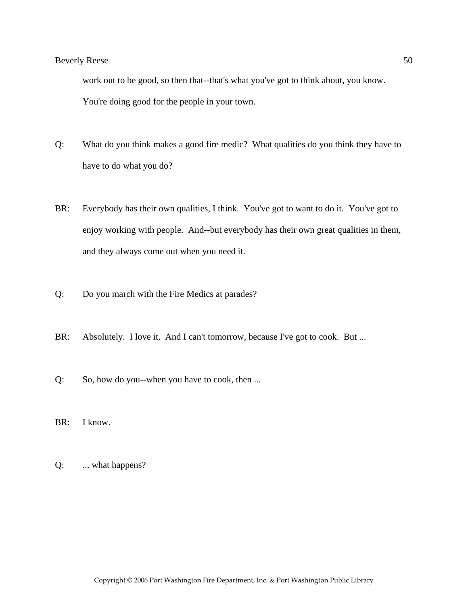work out to be good, so then that--that's what you've got to think about, you know. You're doing good for the people in your town.

- Q: What do you think makes a good fire medic? What qualities do you think they have to have to do what you do?
- BR: Everybody has their own qualities, I think. You've got to want to do it. You've got to enjoy working with people. And--but everybody has their own great qualities in them, and they always come out when you need it.
- Q: Do you march with the Fire Medics at parades?
- BR: Absolutely. I love it. And I can't tomorrow, because I've got to cook. But ...
- Q: So, how do you--when you have to cook, then ...
- BR: I know.
- Q: ... what happens?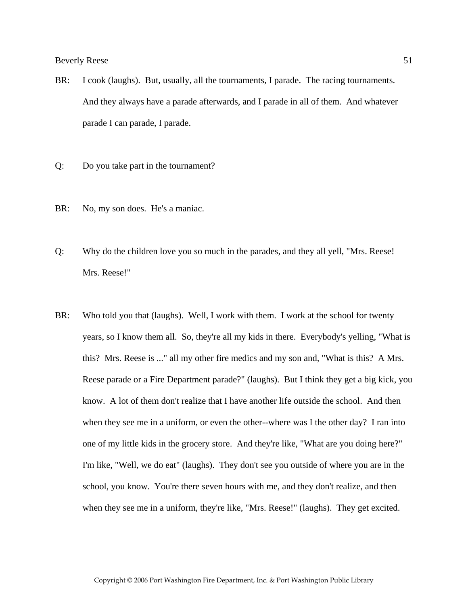- BR: I cook (laughs). But, usually, all the tournaments, I parade. The racing tournaments. And they always have a parade afterwards, and I parade in all of them. And whatever parade I can parade, I parade.
- Q: Do you take part in the tournament?
- BR: No, my son does. He's a maniac.
- Q: Why do the children love you so much in the parades, and they all yell, "Mrs. Reese! Mrs. Reese!"
- BR: Who told you that (laughs). Well, I work with them. I work at the school for twenty years, so I know them all. So, they're all my kids in there. Everybody's yelling, "What is this? Mrs. Reese is ..." all my other fire medics and my son and, "What is this? A Mrs. Reese parade or a Fire Department parade?" (laughs). But I think they get a big kick, you know. A lot of them don't realize that I have another life outside the school. And then when they see me in a uniform, or even the other--where was I the other day? I ran into one of my little kids in the grocery store. And they're like, "What are you doing here?" I'm like, "Well, we do eat" (laughs). They don't see you outside of where you are in the school, you know. You're there seven hours with me, and they don't realize, and then when they see me in a uniform, they're like, "Mrs. Reese!" (laughs). They get excited.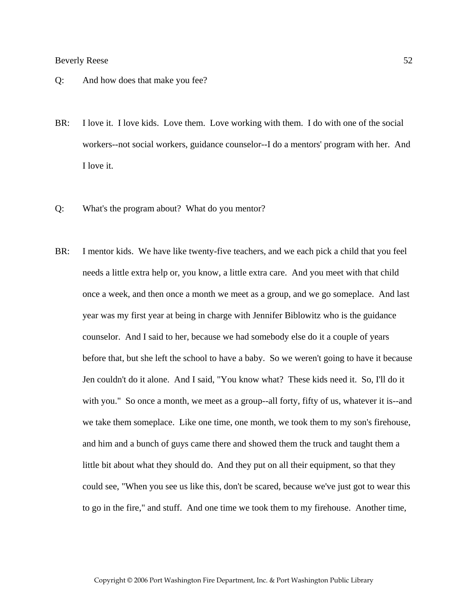- Q: And how does that make you fee?
- BR: I love it. I love kids. Love them. Love working with them. I do with one of the social workers--not social workers, guidance counselor--I do a mentors' program with her. And I love it.
- Q: What's the program about? What do you mentor?
- BR: I mentor kids. We have like twenty-five teachers, and we each pick a child that you feel needs a little extra help or, you know, a little extra care. And you meet with that child once a week, and then once a month we meet as a group, and we go someplace. And last year was my first year at being in charge with Jennifer Biblowitz who is the guidance counselor. And I said to her, because we had somebody else do it a couple of years before that, but she left the school to have a baby. So we weren't going to have it because Jen couldn't do it alone. And I said, "You know what? These kids need it. So, I'll do it with you." So once a month, we meet as a group--all forty, fifty of us, whatever it is--and we take them someplace. Like one time, one month, we took them to my son's firehouse, and him and a bunch of guys came there and showed them the truck and taught them a little bit about what they should do. And they put on all their equipment, so that they could see, "When you see us like this, don't be scared, because we've just got to wear this to go in the fire," and stuff. And one time we took them to my firehouse. Another time,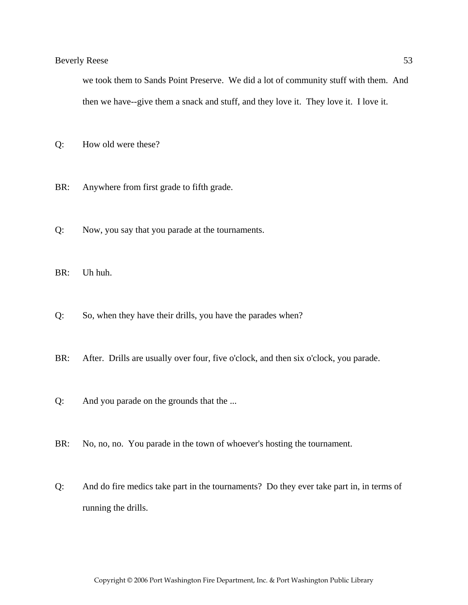we took them to Sands Point Preserve. We did a lot of community stuff with them. And then we have--give them a snack and stuff, and they love it. They love it. I love it.

- Q: How old were these?
- BR: Anywhere from first grade to fifth grade.
- Q: Now, you say that you parade at the tournaments.
- BR: Uh huh.
- Q: So, when they have their drills, you have the parades when?
- BR: After. Drills are usually over four, five o'clock, and then six o'clock, you parade.
- Q: And you parade on the grounds that the ...
- BR: No, no, no. You parade in the town of whoever's hosting the tournament.
- Q: And do fire medics take part in the tournaments? Do they ever take part in, in terms of running the drills.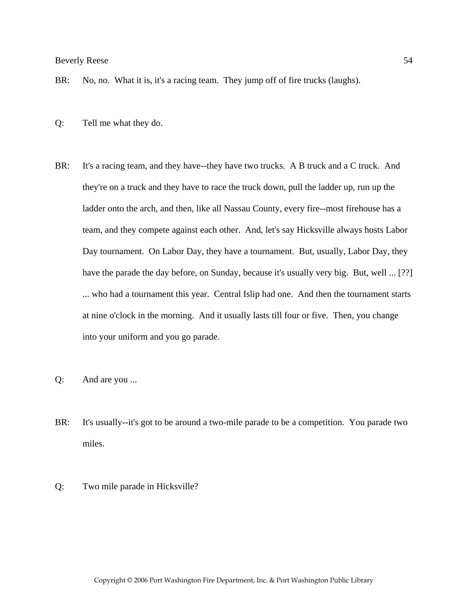- BR: No, no. What it is, it's a racing team. They jump off of fire trucks (laughs).
- Q: Tell me what they do.
- BR: It's a racing team, and they have--they have two trucks. A B truck and a C truck. And they're on a truck and they have to race the truck down, pull the ladder up, run up the ladder onto the arch, and then, like all Nassau County, every fire--most firehouse has a team, and they compete against each other. And, let's say Hicksville always hosts Labor Day tournament. On Labor Day, they have a tournament. But, usually, Labor Day, they have the parade the day before, on Sunday, because it's usually very big. But, well ... [??] ... who had a tournament this year. Central Islip had one. And then the tournament starts at nine o'clock in the morning. And it usually lasts till four or five. Then, you change into your uniform and you go parade.
- Q: And are you ...
- BR: It's usually--it's got to be around a two-mile parade to be a competition. You parade two miles.
- Q: Two mile parade in Hicksville?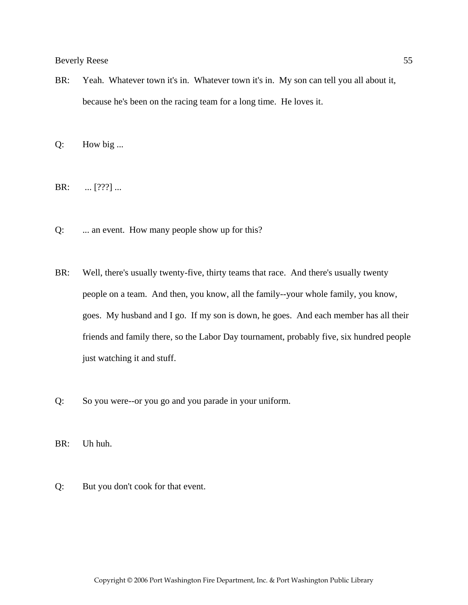BR: Yeah. Whatever town it's in. Whatever town it's in. My son can tell you all about it, because he's been on the racing team for a long time. He loves it.

Q: How big ...

BR: ... [???] ...

- Q: ... an event. How many people show up for this?
- BR: Well, there's usually twenty-five, thirty teams that race. And there's usually twenty people on a team. And then, you know, all the family--your whole family, you know, goes. My husband and I go. If my son is down, he goes. And each member has all their friends and family there, so the Labor Day tournament, probably five, six hundred people just watching it and stuff.
- Q: So you were--or you go and you parade in your uniform.

BR: Uh huh.

Q: But you don't cook for that event.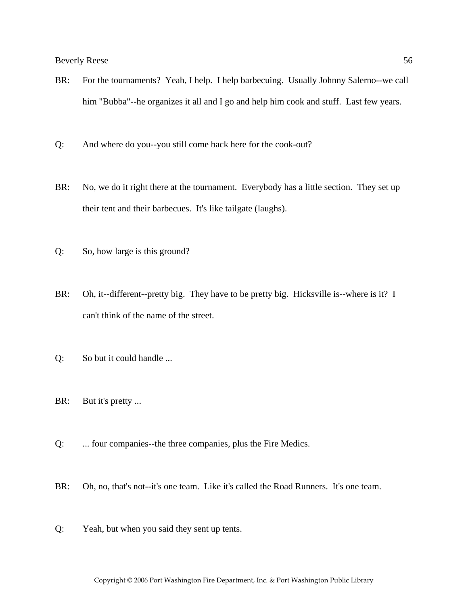- BR: For the tournaments? Yeah, I help. I help barbecuing. Usually Johnny Salerno--we call him "Bubba"--he organizes it all and I go and help him cook and stuff. Last few years.
- Q: And where do you--you still come back here for the cook-out?
- BR: No, we do it right there at the tournament. Everybody has a little section. They set up their tent and their barbecues. It's like tailgate (laughs).
- Q: So, how large is this ground?
- BR: Oh, it--different--pretty big. They have to be pretty big. Hicksville is--where is it? I can't think of the name of the street.
- Q: So but it could handle ...
- BR: But it's pretty ...
- Q: ... four companies--the three companies, plus the Fire Medics.
- BR: Oh, no, that's not--it's one team. Like it's called the Road Runners. It's one team.
- Q: Yeah, but when you said they sent up tents.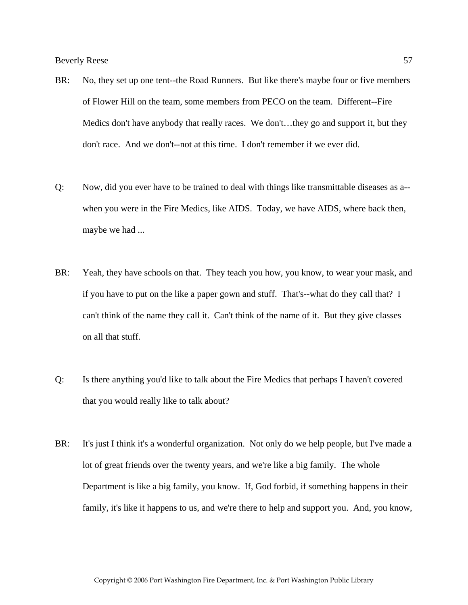- BR: No, they set up one tent--the Road Runners. But like there's maybe four or five members of Flower Hill on the team, some members from PECO on the team. Different--Fire Medics don't have anybody that really races. We don't…they go and support it, but they don't race. And we don't--not at this time. I don't remember if we ever did.
- Q: Now, did you ever have to be trained to deal with things like transmittable diseases as a- when you were in the Fire Medics, like AIDS. Today, we have AIDS, where back then, maybe we had ...
- BR: Yeah, they have schools on that. They teach you how, you know, to wear your mask, and if you have to put on the like a paper gown and stuff. That's--what do they call that? I can't think of the name they call it. Can't think of the name of it. But they give classes on all that stuff.
- Q: Is there anything you'd like to talk about the Fire Medics that perhaps I haven't covered that you would really like to talk about?
- BR: It's just I think it's a wonderful organization. Not only do we help people, but I've made a lot of great friends over the twenty years, and we're like a big family. The whole Department is like a big family, you know. If, God forbid, if something happens in their family, it's like it happens to us, and we're there to help and support you. And, you know,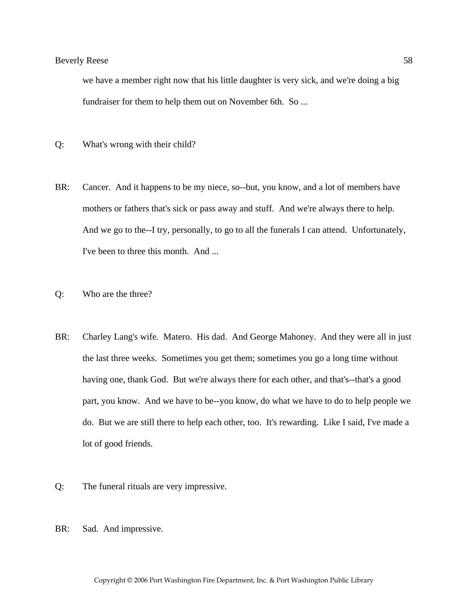we have a member right now that his little daughter is very sick, and we're doing a big fundraiser for them to help them out on November 6th. So ...

- Q: What's wrong with their child?
- BR: Cancer. And it happens to be my niece, so--but, you know, and a lot of members have mothers or fathers that's sick or pass away and stuff. And we're always there to help. And we go to the--I try, personally, to go to all the funerals I can attend. Unfortunately, I've been to three this month. And ...
- Q: Who are the three?
- BR: Charley Lang's wife. Matero. His dad. And George Mahoney. And they were all in just the last three weeks. Sometimes you get them; sometimes you go a long time without having one, thank God. But we're always there for each other, and that's--that's a good part, you know. And we have to be--you know, do what we have to do to help people we do. But we are still there to help each other, too. It's rewarding. Like I said, I've made a lot of good friends.
- Q: The funeral rituals are very impressive.
- BR: Sad. And impressive.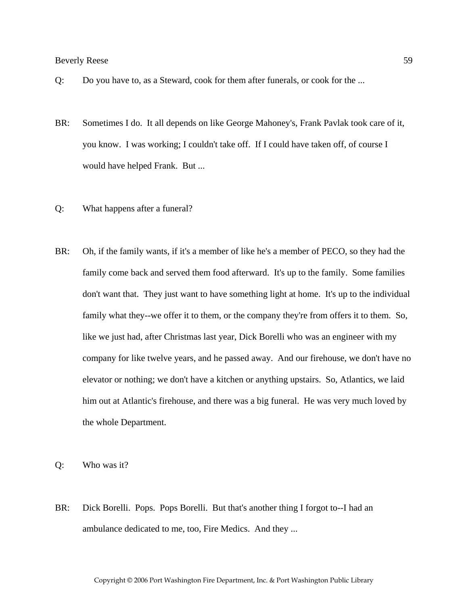- Q: Do you have to, as a Steward, cook for them after funerals, or cook for the ...
- BR: Sometimes I do. It all depends on like George Mahoney's, Frank Pavlak took care of it, you know. I was working; I couldn't take off. If I could have taken off, of course I would have helped Frank. But ...
- Q: What happens after a funeral?
- BR: Oh, if the family wants, if it's a member of like he's a member of PECO, so they had the family come back and served them food afterward. It's up to the family. Some families don't want that. They just want to have something light at home. It's up to the individual family what they--we offer it to them, or the company they're from offers it to them. So, like we just had, after Christmas last year, Dick Borelli who was an engineer with my company for like twelve years, and he passed away. And our firehouse, we don't have no elevator or nothing; we don't have a kitchen or anything upstairs. So, Atlantics, we laid him out at Atlantic's firehouse, and there was a big funeral. He was very much loved by the whole Department.

Q: Who was it?

BR: Dick Borelli. Pops. Pops Borelli. But that's another thing I forgot to--I had an ambulance dedicated to me, too, Fire Medics. And they ...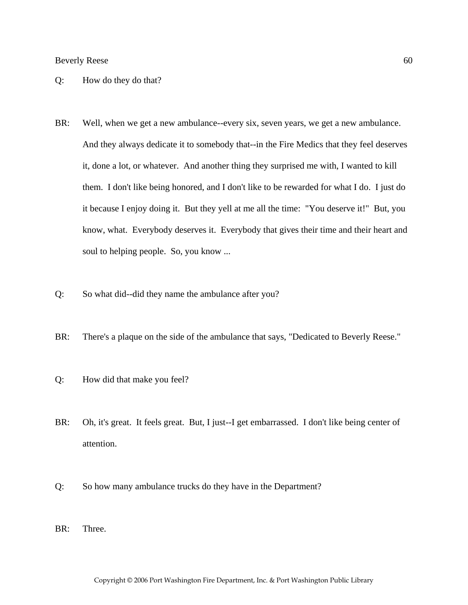- Q: How do they do that?
- BR: Well, when we get a new ambulance--every six, seven years, we get a new ambulance. And they always dedicate it to somebody that--in the Fire Medics that they feel deserves it, done a lot, or whatever. And another thing they surprised me with, I wanted to kill them. I don't like being honored, and I don't like to be rewarded for what I do. I just do it because I enjoy doing it. But they yell at me all the time: "You deserve it!" But, you know, what. Everybody deserves it. Everybody that gives their time and their heart and soul to helping people. So, you know ...
- Q: So what did--did they name the ambulance after you?
- BR: There's a plaque on the side of the ambulance that says, "Dedicated to Beverly Reese."
- Q: How did that make you feel?
- BR: Oh, it's great. It feels great. But, I just--I get embarrassed. I don't like being center of attention.
- Q: So how many ambulance trucks do they have in the Department?
- BR: Three.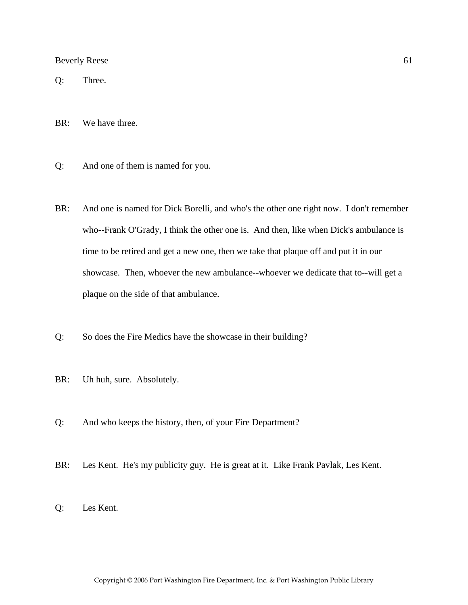Q: Three.

BR: We have three.

- Q: And one of them is named for you.
- BR: And one is named for Dick Borelli, and who's the other one right now. I don't remember who--Frank O'Grady, I think the other one is. And then, like when Dick's ambulance is time to be retired and get a new one, then we take that plaque off and put it in our showcase. Then, whoever the new ambulance--whoever we dedicate that to--will get a plaque on the side of that ambulance.
- Q: So does the Fire Medics have the showcase in their building?
- BR: Uh huh, sure. Absolutely.
- Q: And who keeps the history, then, of your Fire Department?
- BR: Les Kent. He's my publicity guy. He is great at it. Like Frank Pavlak, Les Kent.
- Q: Les Kent.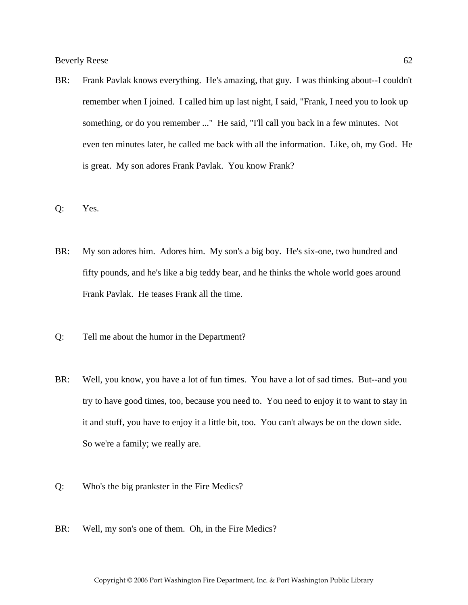- BR: Frank Pavlak knows everything. He's amazing, that guy. I was thinking about--I couldn't remember when I joined. I called him up last night, I said, "Frank, I need you to look up something, or do you remember ..." He said, "I'll call you back in a few minutes. Not even ten minutes later, he called me back with all the information. Like, oh, my God. He is great. My son adores Frank Pavlak. You know Frank?
- Q: Yes.
- BR: My son adores him. Adores him. My son's a big boy. He's six-one, two hundred and fifty pounds, and he's like a big teddy bear, and he thinks the whole world goes around Frank Pavlak. He teases Frank all the time.
- Q: Tell me about the humor in the Department?
- BR: Well, you know, you have a lot of fun times. You have a lot of sad times. But--and you try to have good times, too, because you need to. You need to enjoy it to want to stay in it and stuff, you have to enjoy it a little bit, too. You can't always be on the down side. So we're a family; we really are.
- Q: Who's the big prankster in the Fire Medics?
- BR: Well, my son's one of them. Oh, in the Fire Medics?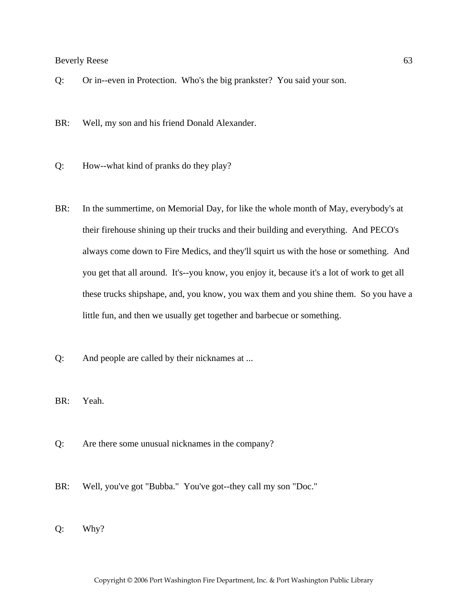- Q: Or in--even in Protection. Who's the big prankster? You said your son.
- BR: Well, my son and his friend Donald Alexander.
- Q: How--what kind of pranks do they play?
- BR: In the summertime, on Memorial Day, for like the whole month of May, everybody's at their firehouse shining up their trucks and their building and everything. And PECO's always come down to Fire Medics, and they'll squirt us with the hose or something. And you get that all around. It's--you know, you enjoy it, because it's a lot of work to get all these trucks shipshape, and, you know, you wax them and you shine them. So you have a little fun, and then we usually get together and barbecue or something.
- Q: And people are called by their nicknames at ...
- BR: Yeah.
- Q: Are there some unusual nicknames in the company?
- BR: Well, you've got "Bubba." You've got--they call my son "Doc."
- Q: Why?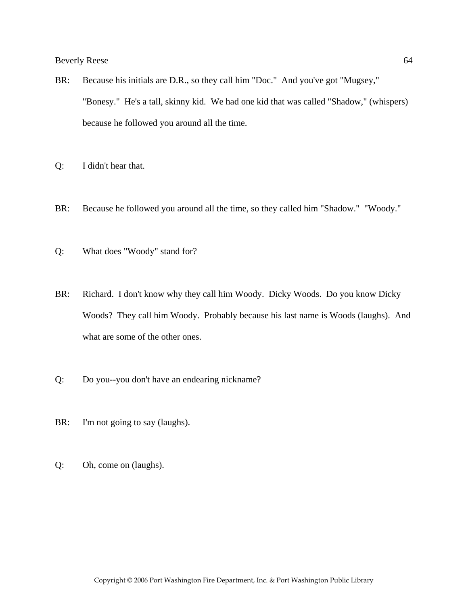- BR: Because his initials are D.R., so they call him "Doc." And you've got "Mugsey," "Bonesy." He's a tall, skinny kid. We had one kid that was called "Shadow," (whispers) because he followed you around all the time.
- Q: I didn't hear that.
- BR: Because he followed you around all the time, so they called him "Shadow." "Woody."
- Q: What does "Woody" stand for?
- BR: Richard. I don't know why they call him Woody. Dicky Woods. Do you know Dicky Woods? They call him Woody. Probably because his last name is Woods (laughs). And what are some of the other ones.
- Q: Do you--you don't have an endearing nickname?
- BR: I'm not going to say (laughs).
- Q: Oh, come on (laughs).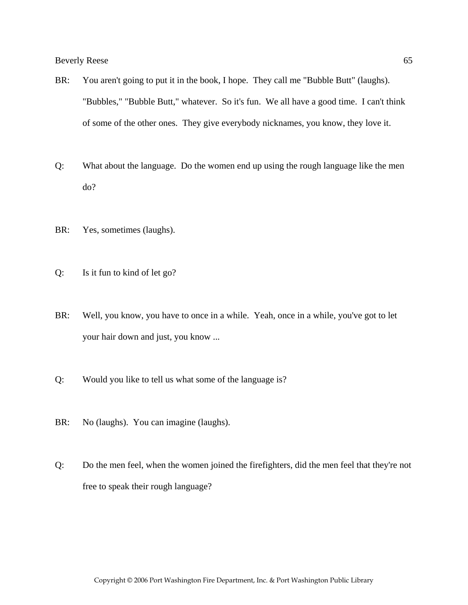- BR: You aren't going to put it in the book, I hope. They call me "Bubble Butt" (laughs). "Bubbles," "Bubble Butt," whatever. So it's fun. We all have a good time. I can't think of some of the other ones. They give everybody nicknames, you know, they love it.
- Q: What about the language. Do the women end up using the rough language like the men do?
- BR: Yes, sometimes (laughs).
- Q: Is it fun to kind of let go?
- BR: Well, you know, you have to once in a while. Yeah, once in a while, you've got to let your hair down and just, you know ...
- Q: Would you like to tell us what some of the language is?
- BR: No (laughs). You can imagine (laughs).
- Q: Do the men feel, when the women joined the firefighters, did the men feel that they're not free to speak their rough language?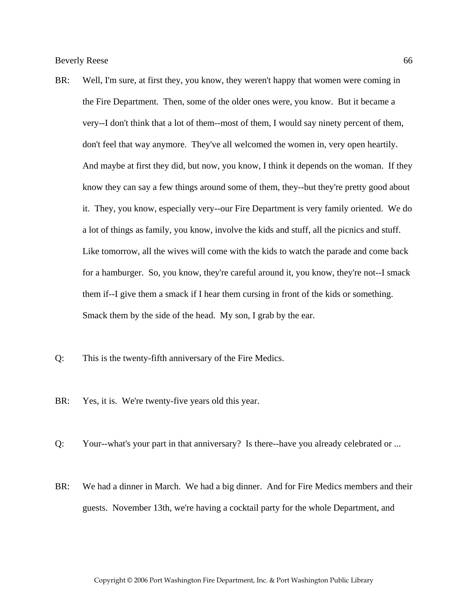- BR: Well, I'm sure, at first they, you know, they weren't happy that women were coming in the Fire Department. Then, some of the older ones were, you know. But it became a very--I don't think that a lot of them--most of them, I would say ninety percent of them, don't feel that way anymore. They've all welcomed the women in, very open heartily. And maybe at first they did, but now, you know, I think it depends on the woman. If they know they can say a few things around some of them, they--but they're pretty good about it. They, you know, especially very--our Fire Department is very family oriented. We do a lot of things as family, you know, involve the kids and stuff, all the picnics and stuff. Like tomorrow, all the wives will come with the kids to watch the parade and come back for a hamburger. So, you know, they're careful around it, you know, they're not--I smack them if--I give them a smack if I hear them cursing in front of the kids or something. Smack them by the side of the head. My son, I grab by the ear.
- Q: This is the twenty-fifth anniversary of the Fire Medics.
- BR: Yes, it is. We're twenty-five years old this year.
- Q: Your--what's your part in that anniversary? Is there--have you already celebrated or ...
- BR: We had a dinner in March. We had a big dinner. And for Fire Medics members and their guests. November 13th, we're having a cocktail party for the whole Department, and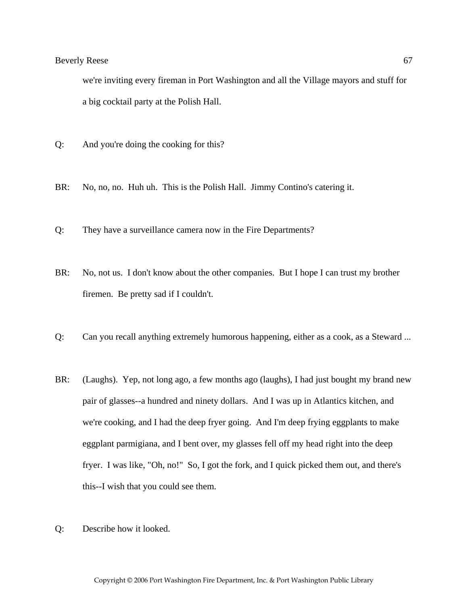we're inviting every fireman in Port Washington and all the Village mayors and stuff for a big cocktail party at the Polish Hall.

- Q: And you're doing the cooking for this?
- BR: No, no, no. Huh uh. This is the Polish Hall. Jimmy Contino's catering it.
- Q: They have a surveillance camera now in the Fire Departments?
- BR: No, not us. I don't know about the other companies. But I hope I can trust my brother firemen. Be pretty sad if I couldn't.
- Q: Can you recall anything extremely humorous happening, either as a cook, as a Steward ...
- BR: (Laughs). Yep, not long ago, a few months ago (laughs), I had just bought my brand new pair of glasses--a hundred and ninety dollars. And I was up in Atlantics kitchen, and we're cooking, and I had the deep fryer going. And I'm deep frying eggplants to make eggplant parmigiana, and I bent over, my glasses fell off my head right into the deep fryer. I was like, "Oh, no!" So, I got the fork, and I quick picked them out, and there's this--I wish that you could see them.
- Q: Describe how it looked.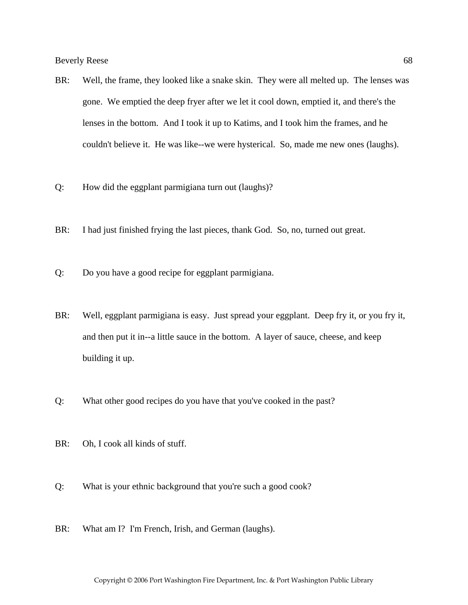- BR: Well, the frame, they looked like a snake skin. They were all melted up. The lenses was gone. We emptied the deep fryer after we let it cool down, emptied it, and there's the lenses in the bottom. And I took it up to Katims, and I took him the frames, and he couldn't believe it. He was like--we were hysterical. So, made me new ones (laughs).
- Q: How did the eggplant parmigiana turn out (laughs)?
- BR: I had just finished frying the last pieces, thank God. So, no, turned out great.
- Q: Do you have a good recipe for eggplant parmigiana.
- BR: Well, eggplant parmigiana is easy. Just spread your eggplant. Deep fry it, or you fry it, and then put it in--a little sauce in the bottom. A layer of sauce, cheese, and keep building it up.
- Q: What other good recipes do you have that you've cooked in the past?
- BR: Oh, I cook all kinds of stuff.
- Q: What is your ethnic background that you're such a good cook?
- BR: What am I? I'm French, Irish, and German (laughs).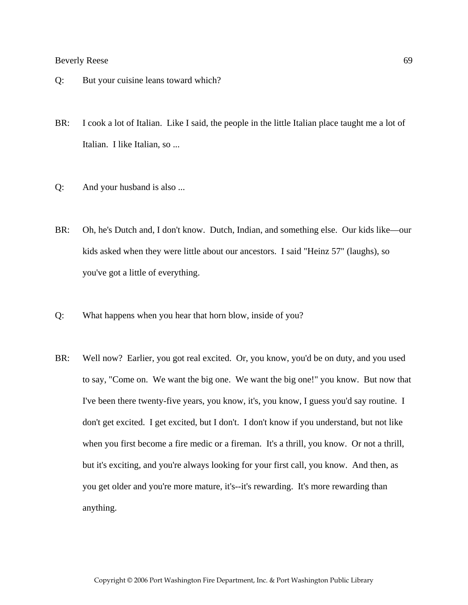- Q: But your cuisine leans toward which?
- BR: I cook a lot of Italian. Like I said, the people in the little Italian place taught me a lot of Italian. I like Italian, so ...
- Q: And your husband is also ...
- BR: Oh, he's Dutch and, I don't know. Dutch, Indian, and something else. Our kids like—our kids asked when they were little about our ancestors. I said "Heinz 57" (laughs), so you've got a little of everything.
- Q: What happens when you hear that horn blow, inside of you?
- BR: Well now? Earlier, you got real excited. Or, you know, you'd be on duty, and you used to say, "Come on. We want the big one. We want the big one!" you know. But now that I've been there twenty-five years, you know, it's, you know, I guess you'd say routine. I don't get excited. I get excited, but I don't. I don't know if you understand, but not like when you first become a fire medic or a fireman. It's a thrill, you know. Or not a thrill, but it's exciting, and you're always looking for your first call, you know. And then, as you get older and you're more mature, it's--it's rewarding. It's more rewarding than anything.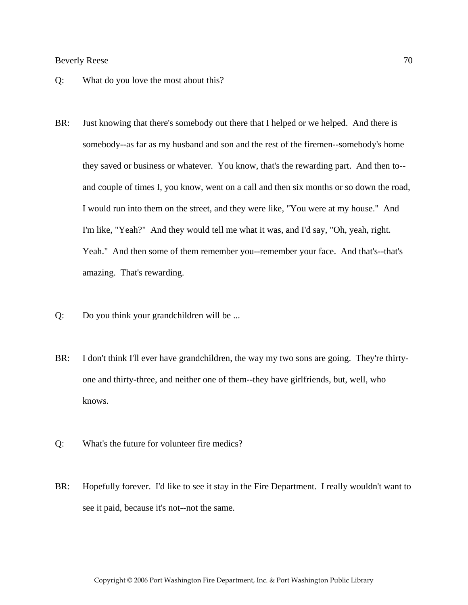- Q: What do you love the most about this?
- BR: Just knowing that there's somebody out there that I helped or we helped. And there is somebody--as far as my husband and son and the rest of the firemen--somebody's home they saved or business or whatever. You know, that's the rewarding part. And then to- and couple of times I, you know, went on a call and then six months or so down the road, I would run into them on the street, and they were like, "You were at my house." And I'm like, "Yeah?" And they would tell me what it was, and I'd say, "Oh, yeah, right. Yeah." And then some of them remember you--remember your face. And that's--that's amazing. That's rewarding.
- Q: Do you think your grandchildren will be ...
- BR: I don't think I'll ever have grandchildren, the way my two sons are going. They're thirtyone and thirty-three, and neither one of them--they have girlfriends, but, well, who knows.
- Q: What's the future for volunteer fire medics?
- BR: Hopefully forever. I'd like to see it stay in the Fire Department. I really wouldn't want to see it paid, because it's not--not the same.